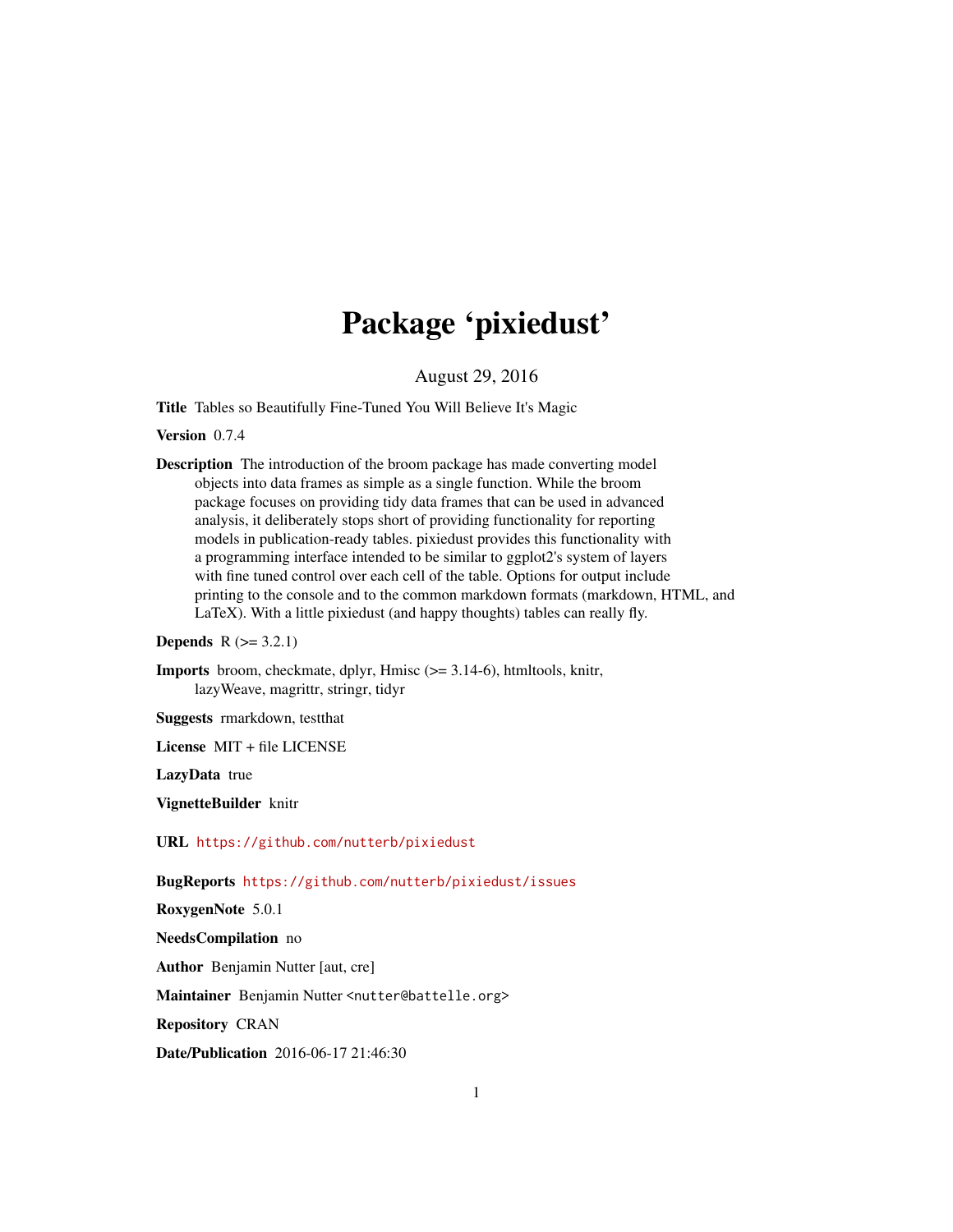# Package 'pixiedust'

August 29, 2016

<span id="page-0-0"></span>Title Tables so Beautifully Fine-Tuned You Will Believe It's Magic

Version 0.7.4

Description The introduction of the broom package has made converting model objects into data frames as simple as a single function. While the broom package focuses on providing tidy data frames that can be used in advanced analysis, it deliberately stops short of providing functionality for reporting models in publication-ready tables. pixiedust provides this functionality with a programming interface intended to be similar to ggplot2's system of layers with fine tuned control over each cell of the table. Options for output include printing to the console and to the common markdown formats (markdown, HTML, and LaTeX). With a little pixiedust (and happy thoughts) tables can really fly.

**Depends**  $R (= 3.2.1)$ 

Imports broom, checkmate, dplyr, Hmisc (>= 3.14-6), htmltools, knitr, lazyWeave, magrittr, stringr, tidyr

Suggests rmarkdown, testthat

License MIT + file LICENSE

LazyData true

VignetteBuilder knitr

URL <https://github.com/nutterb/pixiedust>

BugReports <https://github.com/nutterb/pixiedust/issues>

RoxygenNote 5.0.1

NeedsCompilation no

Author Benjamin Nutter [aut, cre]

Maintainer Benjamin Nutter <nutter@battelle.org>

Repository CRAN

Date/Publication 2016-06-17 21:46:30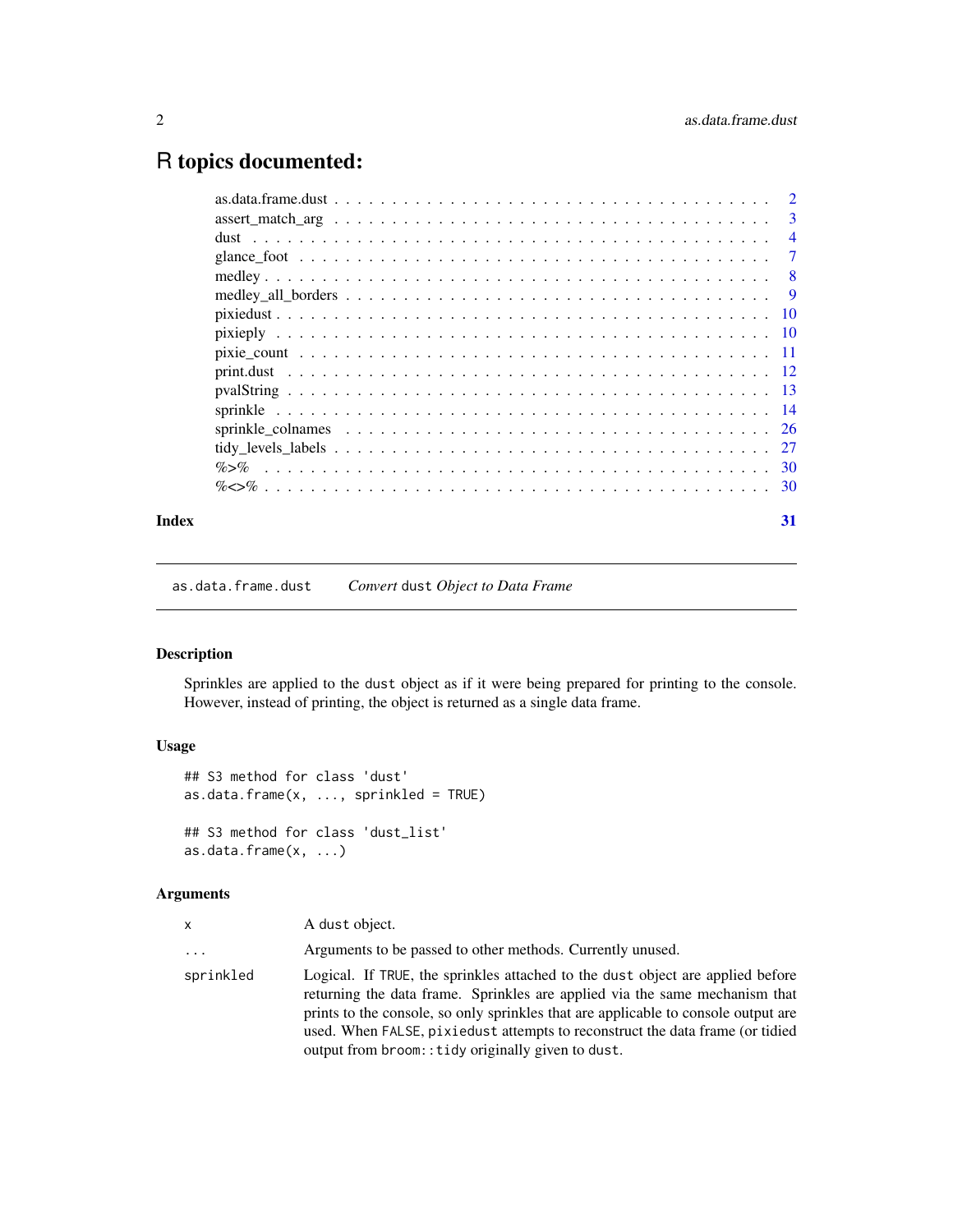## <span id="page-1-0"></span>R topics documented:

|       | $\overline{4}$ |
|-------|----------------|
|       |                |
|       |                |
|       |                |
|       |                |
|       |                |
|       |                |
|       |                |
|       |                |
|       |                |
|       |                |
|       |                |
|       |                |
|       |                |
| Index | 31             |

as.data.frame.dust *Convert* dust *Object to Data Frame*

### Description

Sprinkles are applied to the dust object as if it were being prepared for printing to the console. However, instead of printing, the object is returned as a single data frame.

### Usage

```
## S3 method for class 'dust'
as.data.frame(x, ..., sprinkled = TRUE)
## S3 method for class 'dust_list'
as.data.frame(x, \ldots)
```

| x         | A dust object.                                                                                                                                                                                                                                                                                                                                                                             |
|-----------|--------------------------------------------------------------------------------------------------------------------------------------------------------------------------------------------------------------------------------------------------------------------------------------------------------------------------------------------------------------------------------------------|
| .         | Arguments to be passed to other methods. Currently unused.                                                                                                                                                                                                                                                                                                                                 |
| sprinkled | Logical. If TRUE, the sprinkles attached to the dust object are applied before<br>returning the data frame. Sprinkles are applied via the same mechanism that<br>prints to the console, so only sprinkles that are applicable to console output are<br>used. When FALSE, pixiedust attempts to reconstruct the data frame (or tidied<br>output from broom:: tidy originally given to dust. |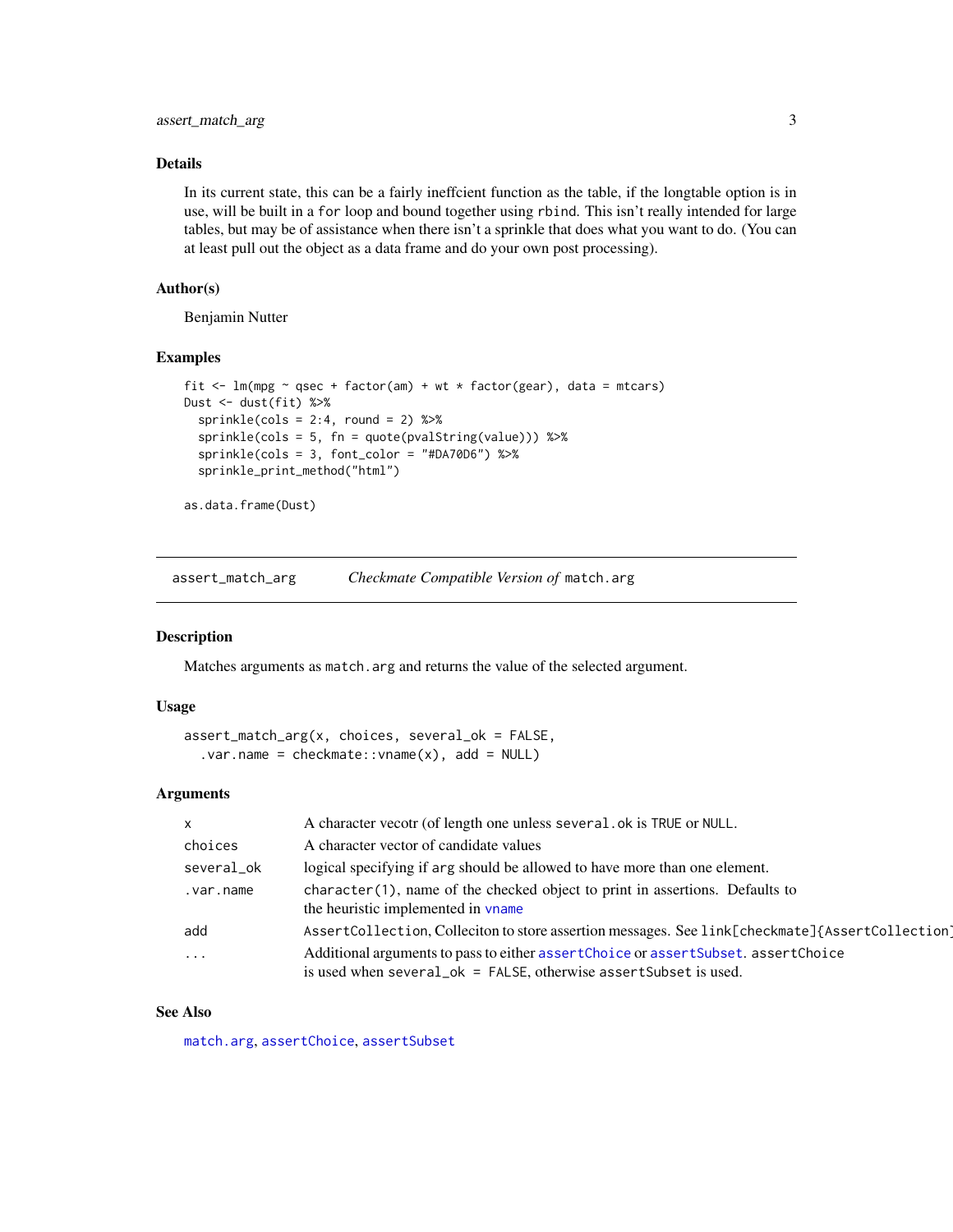#### <span id="page-2-0"></span>Details

In its current state, this can be a fairly ineffcient function as the table, if the longtable option is in use, will be built in a for loop and bound together using rbind. This isn't really intended for large tables, but may be of assistance when there isn't a sprinkle that does what you want to do. (You can at least pull out the object as a data frame and do your own post processing).

#### Author(s)

Benjamin Nutter

#### Examples

```
fit \leq lm(mpg \sim qsec + factor(am) + wt * factor(gear), data = mtcars)
Dust <- dust(fit) %>%
 sprinkle(cols = 2:4, round = 2) %sprinkle(cols = 5, fn = quote(pvalString(value))) %>%
 sprinkle(cols = 3, font_color = "#DA70D6") %>%
 sprinkle_print_method("html")
```
as.data.frame(Dust)

assert\_match\_arg *Checkmate Compatible Version of* match.arg

#### Description

Matches arguments as match.arg and returns the value of the selected argument.

#### Usage

```
assert_match_arg(x, choices, several_ok = FALSE,
  var.name = checkmate::vname(x), add = NULL)
```
#### Arguments

| $\mathsf{x}$ | A character vecotr (of length one unless several . ok is TRUE or NULL.                                                                                    |
|--------------|-----------------------------------------------------------------------------------------------------------------------------------------------------------|
| choices      | A character vector of candidate values                                                                                                                    |
| several_ok   | logical specifying if arg should be allowed to have more than one element.                                                                                |
| .var.name    | $character(1)$ , name of the checked object to print in assertions. Defaults to<br>the heuristic implemented in vname                                     |
| add          | AssertCollection, Colleciton to store assertion messages. See link[checkmate]{AssertCollection]                                                           |
| $\ddots$     | Additional arguments to pass to either assertChoice or assertSubset. assertChoice<br>is used when several $ok = FALSE$ , otherwise assert Subset is used. |

#### See Also

[match.arg](#page-0-0), [assertChoice](#page-0-0), [assertSubset](#page-0-0)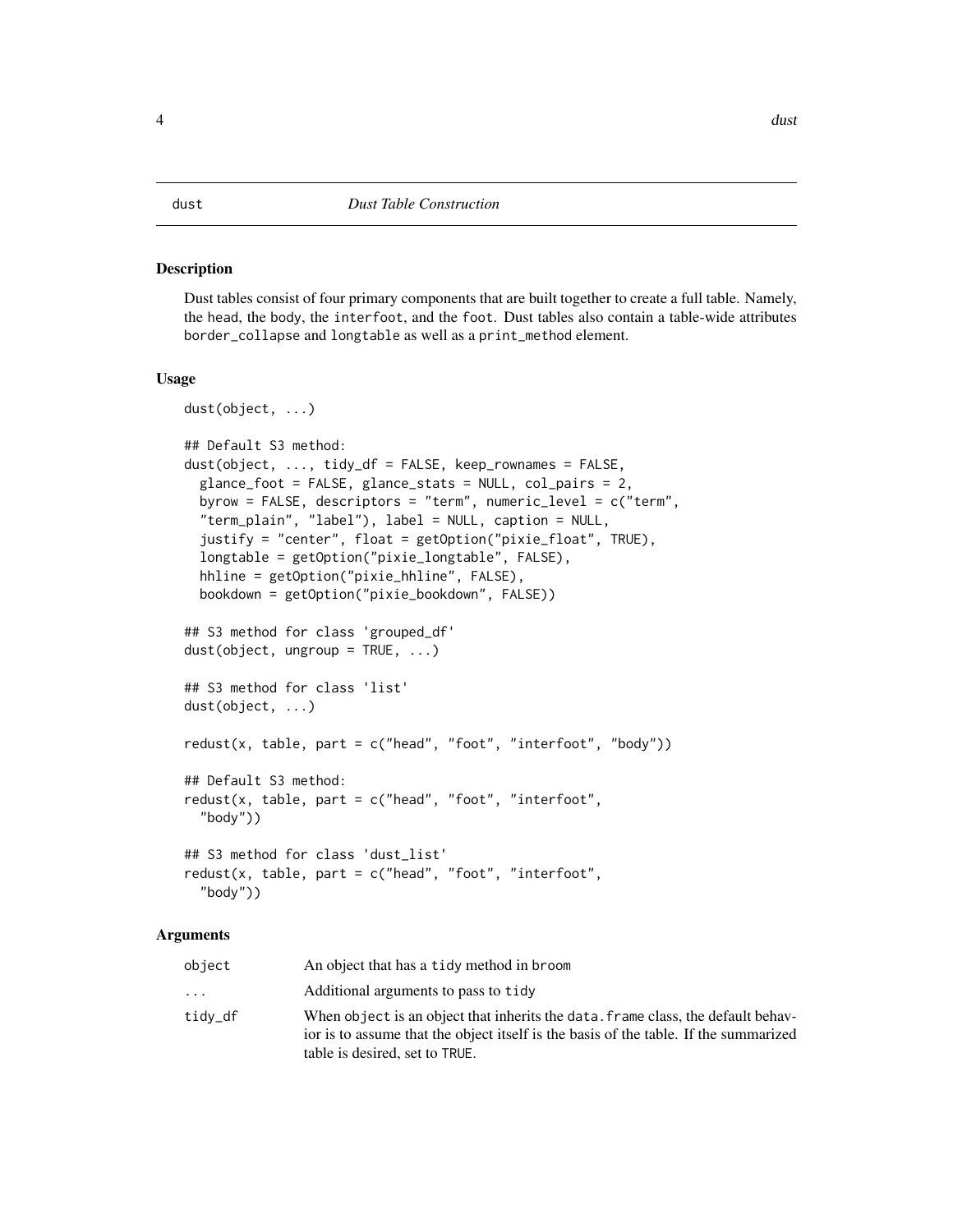#### <span id="page-3-0"></span>Description

Dust tables consist of four primary components that are built together to create a full table. Namely, the head, the body, the interfoot, and the foot. Dust tables also contain a table-wide attributes border\_collapse and longtable as well as a print\_method element.

#### Usage

```
dust(object, ...)
## Default S3 method:
dust(object, ..., tidy_df = FALSE, keep_rownames = FALSE,
  glance_foot = FALSE, glance_stats = NULL, col_pairs = 2,
 byrow = FALSE, descriptors = "term", numeric_level = c("term",
  "term_plain", "label"), label = NULL, caption = NULL,
  justify = "center", float = getOption("pixie_float", TRUE),
  longtable = getOption("pixie_longtable", FALSE),
 hhline = getOption("pixie_hhline", FALSE),
 bookdown = getOption("pixie_bookdown", FALSE))
## S3 method for class 'grouped_df'
dust(object, ungroup = TRUE, ...)## S3 method for class 'list'
dust(object, ...)
redust(x, table, part = c("head", "foot", "interfoot", "body"))
## Default S3 method:
redust(x, table, part = c("head", "foot", "interfoot","body"))
## S3 method for class 'dust_list'
redust(x, table, part = c("head", "foot", "interfoot","body"))
```

| object   | An object that has a tidy method in broom                                                                                                                                |
|----------|--------------------------------------------------------------------------------------------------------------------------------------------------------------------------|
| $\cdots$ | Additional arguments to pass to tidy                                                                                                                                     |
| tidy_df  | When object is an object that inherits the data, frame class, the default behay-<br>ior is to assume that the object itself is the basis of the table. If the summarized |
|          | table is desired, set to TRUE.                                                                                                                                           |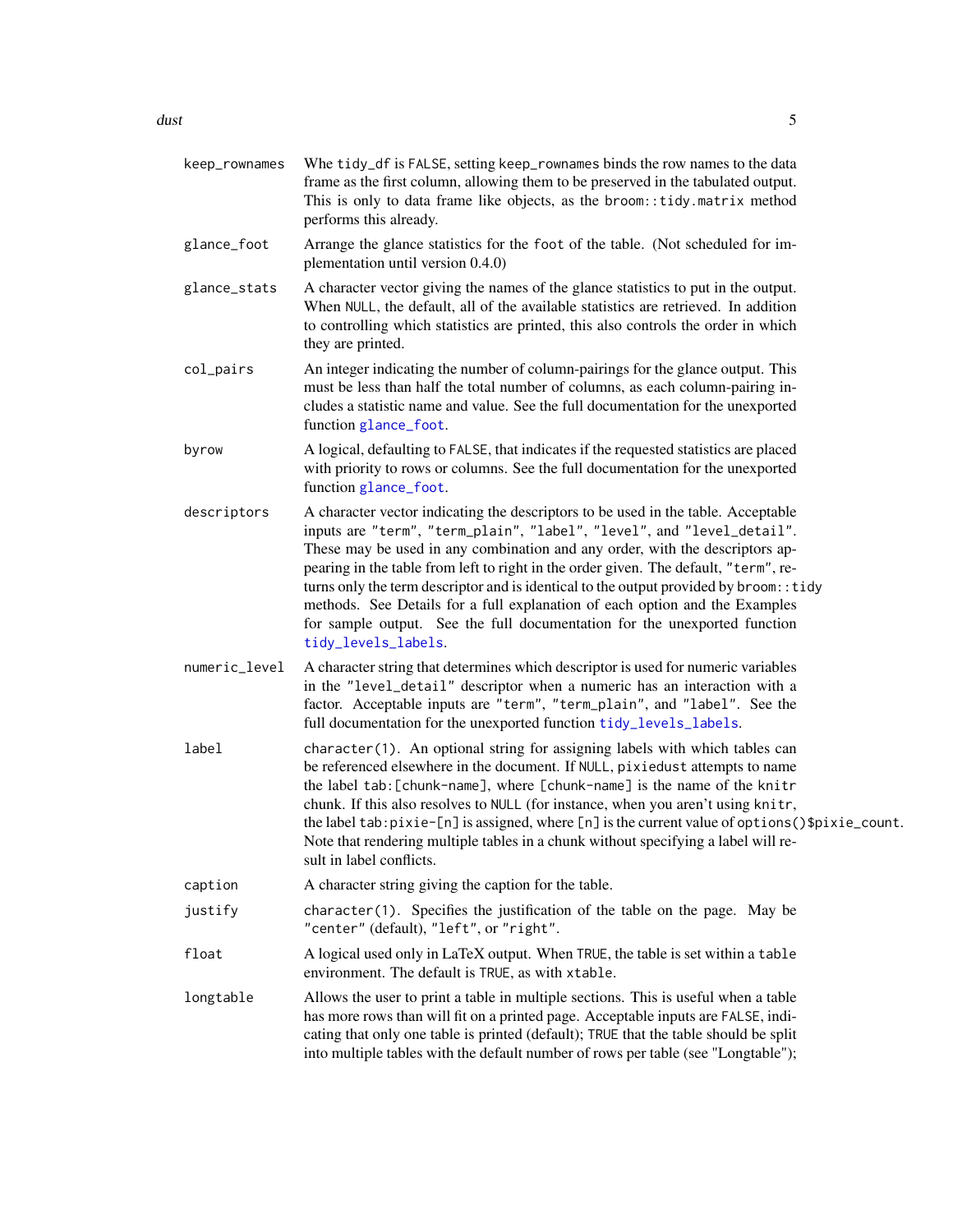<span id="page-4-0"></span>

| keep_rownames | Whe tidy_df is FALSE, setting keep_rownames binds the row names to the data<br>frame as the first column, allowing them to be preserved in the tabulated output.<br>This is only to data frame like objects, as the broom:: tidy.matrix method<br>performs this already.                                                                                                                                                                                                                                                                                                                                         |
|---------------|------------------------------------------------------------------------------------------------------------------------------------------------------------------------------------------------------------------------------------------------------------------------------------------------------------------------------------------------------------------------------------------------------------------------------------------------------------------------------------------------------------------------------------------------------------------------------------------------------------------|
| glance_foot   | Arrange the glance statistics for the foot of the table. (Not scheduled for im-<br>plementation until version 0.4.0)                                                                                                                                                                                                                                                                                                                                                                                                                                                                                             |
| glance_stats  | A character vector giving the names of the glance statistics to put in the output.<br>When NULL, the default, all of the available statistics are retrieved. In addition<br>to controlling which statistics are printed, this also controls the order in which<br>they are printed.                                                                                                                                                                                                                                                                                                                              |
| col_pairs     | An integer indicating the number of column-pairings for the glance output. This<br>must be less than half the total number of columns, as each column-pairing in-<br>cludes a statistic name and value. See the full documentation for the unexported<br>function glance_foot.                                                                                                                                                                                                                                                                                                                                   |
| byrow         | A logical, defaulting to FALSE, that indicates if the requested statistics are placed<br>with priority to rows or columns. See the full documentation for the unexported<br>function glance_foot.                                                                                                                                                                                                                                                                                                                                                                                                                |
| descriptors   | A character vector indicating the descriptors to be used in the table. Acceptable<br>inputs are "term", "term_plain", "label", "level", and "level_detail".<br>These may be used in any combination and any order, with the descriptors ap-<br>pearing in the table from left to right in the order given. The default, "term", re-<br>turns only the term descriptor and is identical to the output provided by broom:: tidy<br>methods. See Details for a full explanation of each option and the Examples<br>for sample output. See the full documentation for the unexported function<br>tidy_levels_labels. |
| numeric_level | A character string that determines which descriptor is used for numeric variables<br>in the "level_detail" descriptor when a numeric has an interaction with a<br>factor. Acceptable inputs are "term", "term_plain", and "label". See the<br>full documentation for the unexported function tidy_levels_labels.                                                                                                                                                                                                                                                                                                 |
| label         | character(1). An optional string for assigning labels with which tables can<br>be referenced elsewhere in the document. If NULL, pixiedust attempts to name<br>the label tab: [chunk-name], where [chunk-name] is the name of the knitr<br>chunk. If this also resolves to NULL (for instance, when you aren't using knitr,<br>the label tab: pixie-[n] is assigned, where [n] is the current value of options ()\$pixie_count.<br>Note that rendering multiple tables in a chunk without specifying a label will re-<br>sult in label conflicts.                                                                |
| caption       | A character string giving the caption for the table.                                                                                                                                                                                                                                                                                                                                                                                                                                                                                                                                                             |
| justify       | character(1). Specifies the justification of the table on the page. May be<br>"center" (default), "left", or "right".                                                                                                                                                                                                                                                                                                                                                                                                                                                                                            |
| float         | A logical used only in LaTeX output. When TRUE, the table is set within a table<br>environment. The default is TRUE, as with xtable.                                                                                                                                                                                                                                                                                                                                                                                                                                                                             |
| longtable     | Allows the user to print a table in multiple sections. This is useful when a table<br>has more rows than will fit on a printed page. Acceptable inputs are FALSE, indi-<br>cating that only one table is printed (default); TRUE that the table should be split<br>into multiple tables with the default number of rows per table (see "Longtable");                                                                                                                                                                                                                                                             |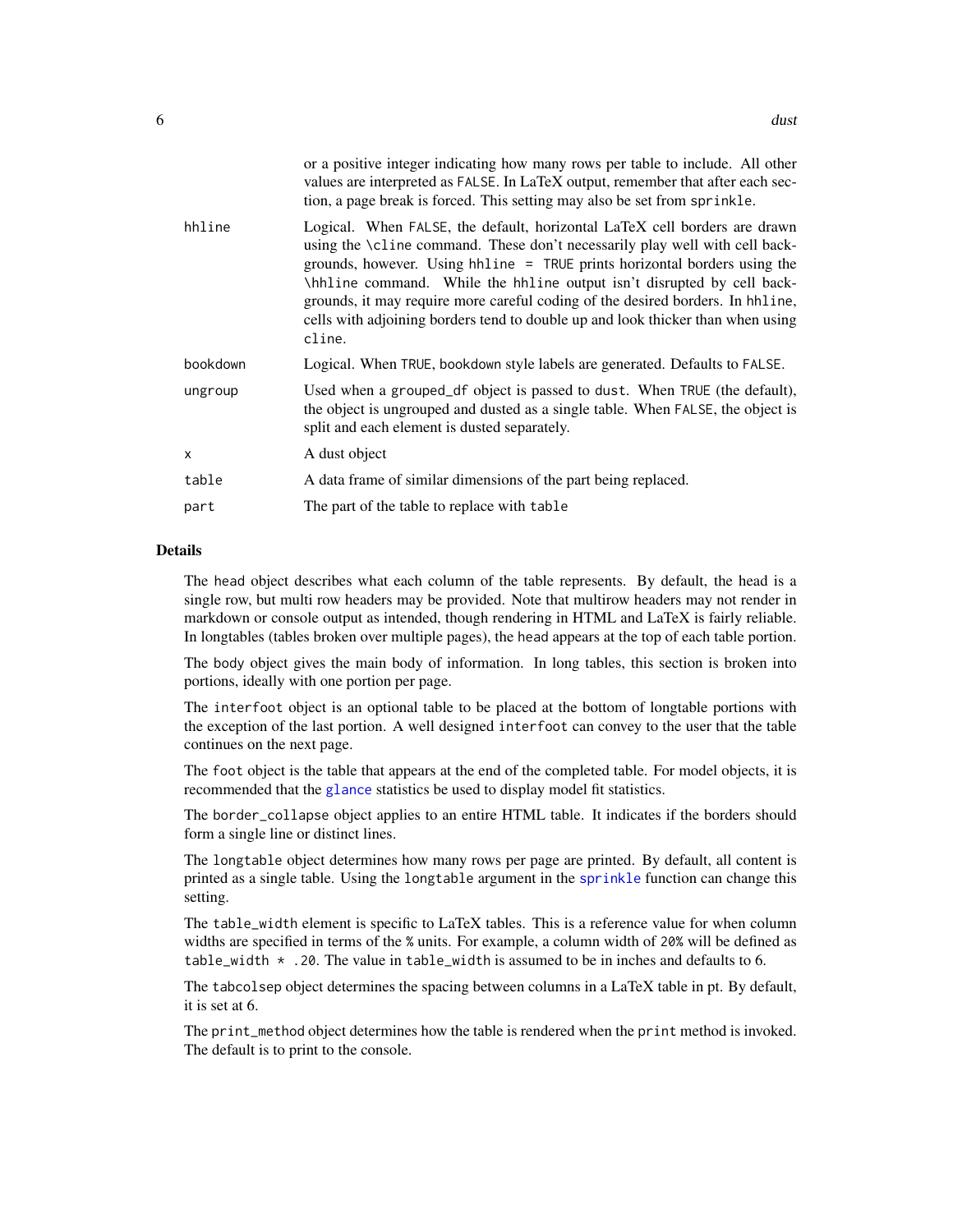<span id="page-5-0"></span>

|          | or a positive integer indicating how many rows per table to include. All other<br>values are interpreted as FALSE. In LaTeX output, remember that after each sec-<br>tion, a page break is forced. This setting may also be set from sprinkle.                                                                                                                                                                                                                                                 |
|----------|------------------------------------------------------------------------------------------------------------------------------------------------------------------------------------------------------------------------------------------------------------------------------------------------------------------------------------------------------------------------------------------------------------------------------------------------------------------------------------------------|
| hhline   | Logical. When FALSE, the default, horizontal LaTeX cell borders are drawn<br>using the \cline command. These don't necessarily play well with cell back-<br>grounds, however. Using hhline = TRUE prints horizontal borders using the<br>\hhline command. While the hhline output isn't disrupted by cell back-<br>grounds, it may require more careful coding of the desired borders. In hhline,<br>cells with adjoining borders tend to double up and look thicker than when using<br>cline. |
| bookdown | Logical. When TRUE, bookdown style labels are generated. Defaults to FALSE.                                                                                                                                                                                                                                                                                                                                                                                                                    |
| ungroup  | Used when a grouped df object is passed to dust. When TRUE (the default),<br>the object is ungrouped and dusted as a single table. When FALSE, the object is<br>split and each element is dusted separately.                                                                                                                                                                                                                                                                                   |
| x        | A dust object                                                                                                                                                                                                                                                                                                                                                                                                                                                                                  |
| table    | A data frame of similar dimensions of the part being replaced.                                                                                                                                                                                                                                                                                                                                                                                                                                 |
| part     | The part of the table to replace with table                                                                                                                                                                                                                                                                                                                                                                                                                                                    |
|          |                                                                                                                                                                                                                                                                                                                                                                                                                                                                                                |

#### Details

The head object describes what each column of the table represents. By default, the head is a single row, but multi row headers may be provided. Note that multirow headers may not render in markdown or console output as intended, though rendering in HTML and LaTeX is fairly reliable. In longtables (tables broken over multiple pages), the head appears at the top of each table portion.

The body object gives the main body of information. In long tables, this section is broken into portions, ideally with one portion per page.

The interfoot object is an optional table to be placed at the bottom of longtable portions with the exception of the last portion. A well designed interfoot can convey to the user that the table continues on the next page.

The foot object is the table that appears at the end of the completed table. For model objects, it is recommended that the [glance](#page-0-0) statistics be used to display model fit statistics.

The border\_collapse object applies to an entire HTML table. It indicates if the borders should form a single line or distinct lines.

The longtable object determines how many rows per page are printed. By default, all content is printed as a single table. Using the longtable argument in the [sprinkle](#page-13-1) function can change this setting.

The table\_width element is specific to LaTeX tables. This is a reference value for when column widths are specified in terms of the % units. For example, a column width of 20% will be defined as table\_width  $\star$  . 20. The value in table\_width is assumed to be in inches and defaults to 6.

The tabcolsep object determines the spacing between columns in a LaTeX table in pt. By default, it is set at 6.

The print\_method object determines how the table is rendered when the print method is invoked. The default is to print to the console.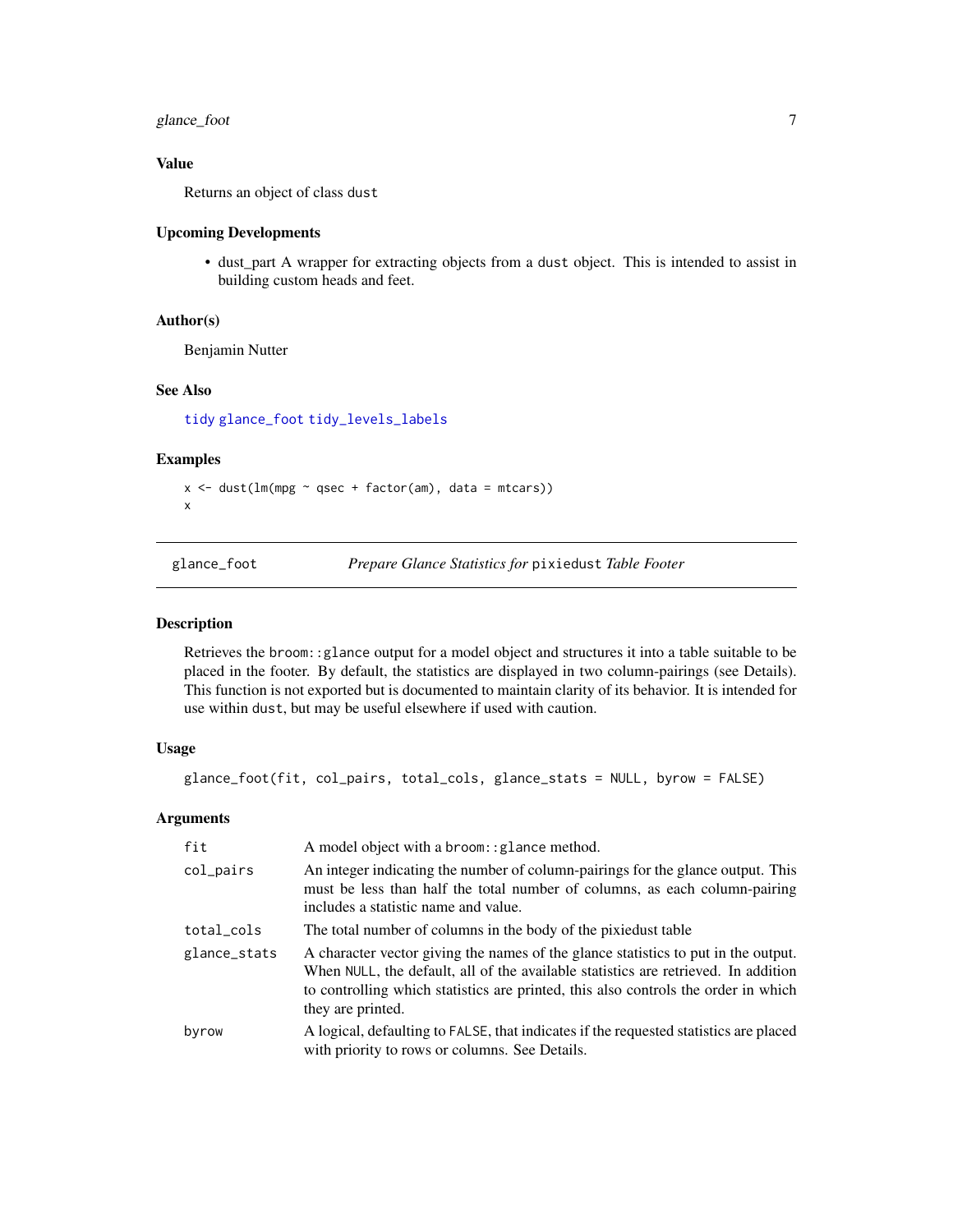### <span id="page-6-0"></span>glance\_foot 7

#### Value

Returns an object of class dust

#### Upcoming Developments

• dust\_part A wrapper for extracting objects from a dust object. This is intended to assist in building custom heads and feet.

#### Author(s)

Benjamin Nutter

#### See Also

[tidy](#page-0-0) [glance\\_foot](#page-6-1) [tidy\\_levels\\_labels](#page-26-1)

#### Examples

```
x \le - dust(lm(mpg \sim qsec + factor(am), data = mtcars))
x
```
<span id="page-6-1"></span>glance\_foot *Prepare Glance Statistics for* pixiedust *Table Footer*

#### Description

Retrieves the broom::glance output for a model object and structures it into a table suitable to be placed in the footer. By default, the statistics are displayed in two column-pairings (see Details). This function is not exported but is documented to maintain clarity of its behavior. It is intended for use within dust, but may be useful elsewhere if used with caution.

#### Usage

```
glance_foot(fit, col_pairs, total_cols, glance_stats = NULL, byrow = FALSE)
```

| fit          | A model object with a broom: : glance method.                                                                                                                                                                                                                                       |
|--------------|-------------------------------------------------------------------------------------------------------------------------------------------------------------------------------------------------------------------------------------------------------------------------------------|
| col_pairs    | An integer indicating the number of column-pairings for the glance output. This<br>must be less than half the total number of columns, as each column-pairing<br>includes a statistic name and value.                                                                               |
| total_cols   | The total number of columns in the body of the pixied is table                                                                                                                                                                                                                      |
| glance_stats | A character vector giving the names of the glance statistics to put in the output.<br>When NULL, the default, all of the available statistics are retrieved. In addition<br>to controlling which statistics are printed, this also controls the order in which<br>they are printed. |
| byrow        | A logical, defaulting to FALSE, that indicates if the requested statistics are placed<br>with priority to rows or columns. See Details.                                                                                                                                             |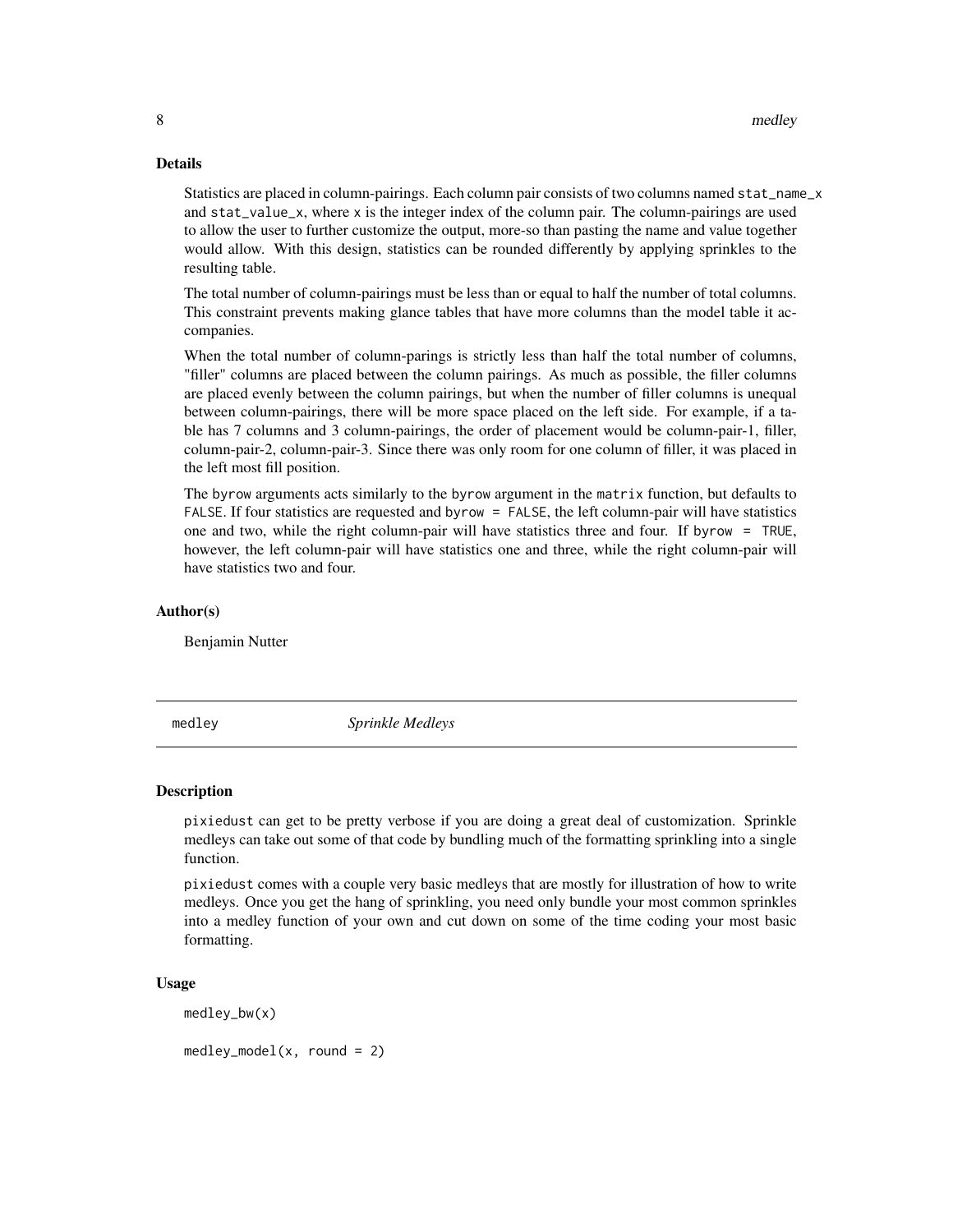#### Details

Statistics are placed in column-pairings. Each column pair consists of two columns named stat\_name\_x and stat\_value\_x, where x is the integer index of the column pair. The column-pairings are used to allow the user to further customize the output, more-so than pasting the name and value together would allow. With this design, statistics can be rounded differently by applying sprinkles to the resulting table.

The total number of column-pairings must be less than or equal to half the number of total columns. This constraint prevents making glance tables that have more columns than the model table it accompanies.

When the total number of column-parings is strictly less than half the total number of columns, "filler" columns are placed between the column pairings. As much as possible, the filler columns are placed evenly between the column pairings, but when the number of filler columns is unequal between column-pairings, there will be more space placed on the left side. For example, if a table has 7 columns and 3 column-pairings, the order of placement would be column-pair-1, filler, column-pair-2, column-pair-3. Since there was only room for one column of filler, it was placed in the left most fill position.

The byrow arguments acts similarly to the byrow argument in the matrix function, but defaults to FALSE. If four statistics are requested and byrow = FALSE, the left column-pair will have statistics one and two, while the right column-pair will have statistics three and four. If byrow = TRUE, however, the left column-pair will have statistics one and three, while the right column-pair will have statistics two and four.

#### Author(s)

Benjamin Nutter

medley *Sprinkle Medleys*

#### Description

pixiedust can get to be pretty verbose if you are doing a great deal of customization. Sprinkle medleys can take out some of that code by bundling much of the formatting sprinkling into a single function.

pixiedust comes with a couple very basic medleys that are mostly for illustration of how to write medleys. Once you get the hang of sprinkling, you need only bundle your most common sprinkles into a medley function of your own and cut down on some of the time coding your most basic formatting.

#### Usage

medley\_bw(x)

 $medley_model(x, round = 2)$ 

<span id="page-7-0"></span>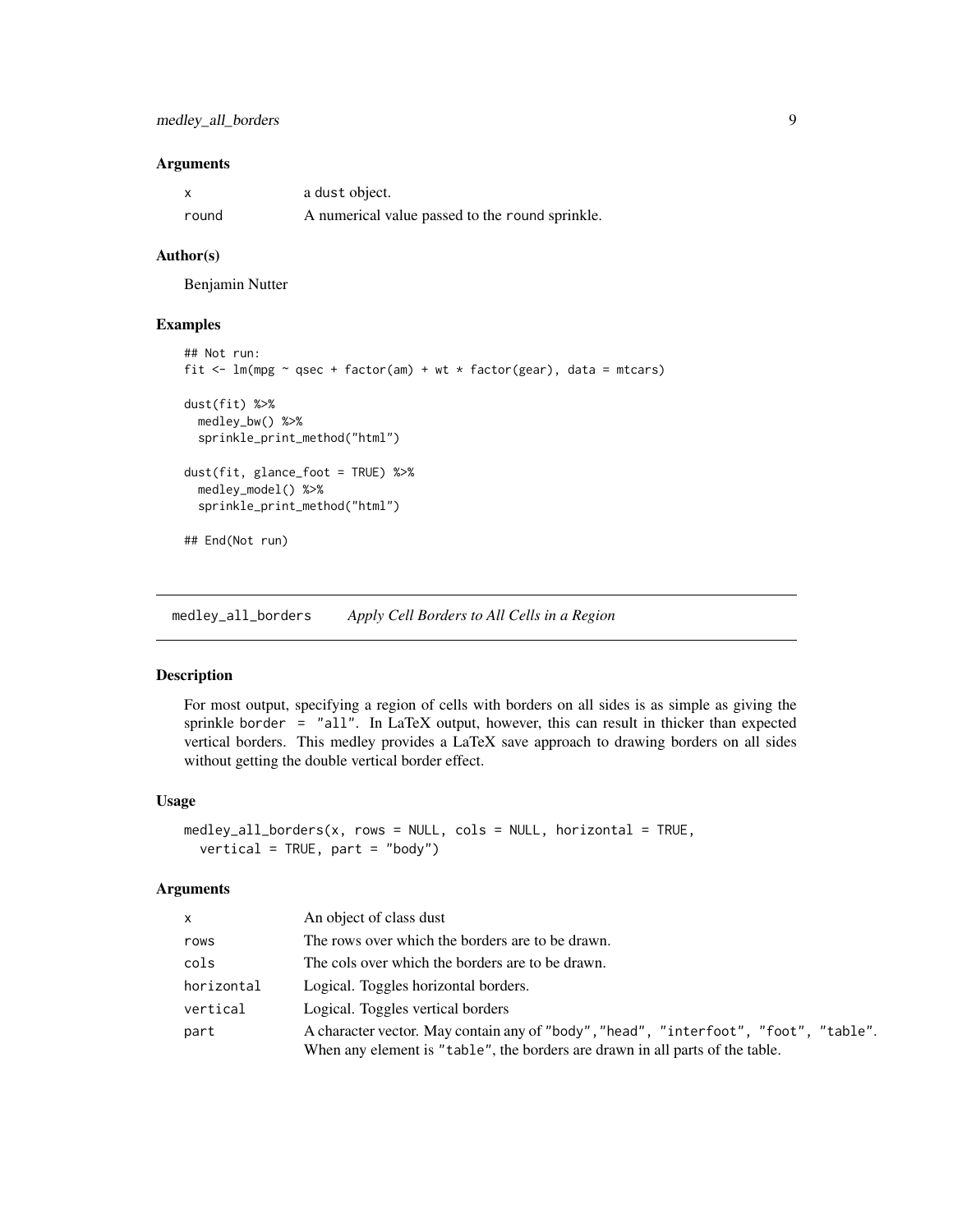#### <span id="page-8-0"></span>Arguments

|       | a dust object.                                  |
|-------|-------------------------------------------------|
| round | A numerical value passed to the round sprinkle. |

#### Author(s)

Benjamin Nutter

### Examples

```
## Not run:
fit \leq lm(mpg \sim qsec + factor(am) + wt * factor(gear), data = mtcars)
dust(fit) %>%
 medley_bw() %>%
 sprinkle_print_method("html")
dust(fit, glance_foot = TRUE) %>%
 medley_model() %>%
 sprinkle_print_method("html")
## End(Not run)
```
medley\_all\_borders *Apply Cell Borders to All Cells in a Region*

### Description

For most output, specifying a region of cells with borders on all sides is as simple as giving the sprinkle border = "all". In LaTeX output, however, this can result in thicker than expected vertical borders. This medley provides a LaTeX save approach to drawing borders on all sides without getting the double vertical border effect.

#### Usage

```
medley_all_borders(x, rows = NULL, cols = NULL, horizontal = TRUE,
  vertical = TRUE, part = "body")
```

| $\mathsf{x}$ | An object of class dust                                                                                                                                               |
|--------------|-----------------------------------------------------------------------------------------------------------------------------------------------------------------------|
| rows         | The rows over which the borders are to be drawn.                                                                                                                      |
| cols         | The cols over which the borders are to be drawn.                                                                                                                      |
| horizontal   | Logical. Toggles horizontal borders.                                                                                                                                  |
| vertical     | Logical. Toggles vertical borders                                                                                                                                     |
| part         | A character vector. May contain any of "body", "head", "interfoot", "foot", "table".<br>When any element is "table", the borders are drawn in all parts of the table. |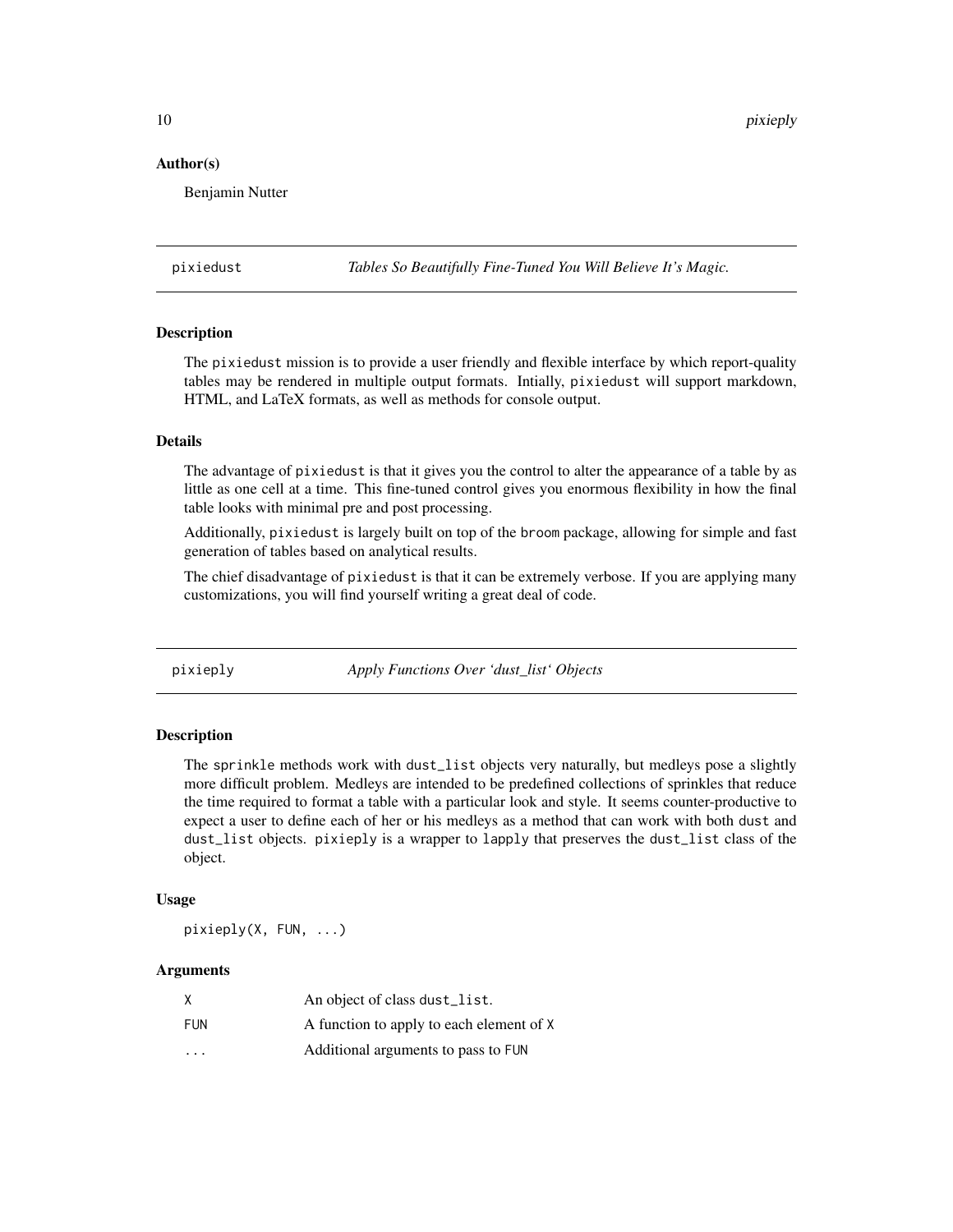#### <span id="page-9-0"></span>Author(s)

Benjamin Nutter

pixiedust *Tables So Beautifully Fine-Tuned You Will Believe It's Magic.*

#### **Description**

The pixiedust mission is to provide a user friendly and flexible interface by which report-quality tables may be rendered in multiple output formats. Intially, pixiedust will support markdown, HTML, and LaTeX formats, as well as methods for console output.

### Details

The advantage of pixiedust is that it gives you the control to alter the appearance of a table by as little as one cell at a time. This fine-tuned control gives you enormous flexibility in how the final table looks with minimal pre and post processing.

Additionally, pixiedust is largely built on top of the broom package, allowing for simple and fast generation of tables based on analytical results.

The chief disadvantage of pixiedust is that it can be extremely verbose. If you are applying many customizations, you will find yourself writing a great deal of code.

pixieply *Apply Functions Over 'dust\_list' Objects*

#### **Description**

The sprinkle methods work with dust\_list objects very naturally, but medleys pose a slightly more difficult problem. Medleys are intended to be predefined collections of sprinkles that reduce the time required to format a table with a particular look and style. It seems counter-productive to expect a user to define each of her or his medleys as a method that can work with both dust and dust\_list objects. pixieply is a wrapper to lapply that preserves the dust\_list class of the object.

#### Usage

pixieply(X, FUN, ...)

| χ                       | An object of class dust_list.            |
|-------------------------|------------------------------------------|
| FUN                     | A function to apply to each element of X |
| $\cdot$ $\cdot$ $\cdot$ | Additional arguments to pass to FUN      |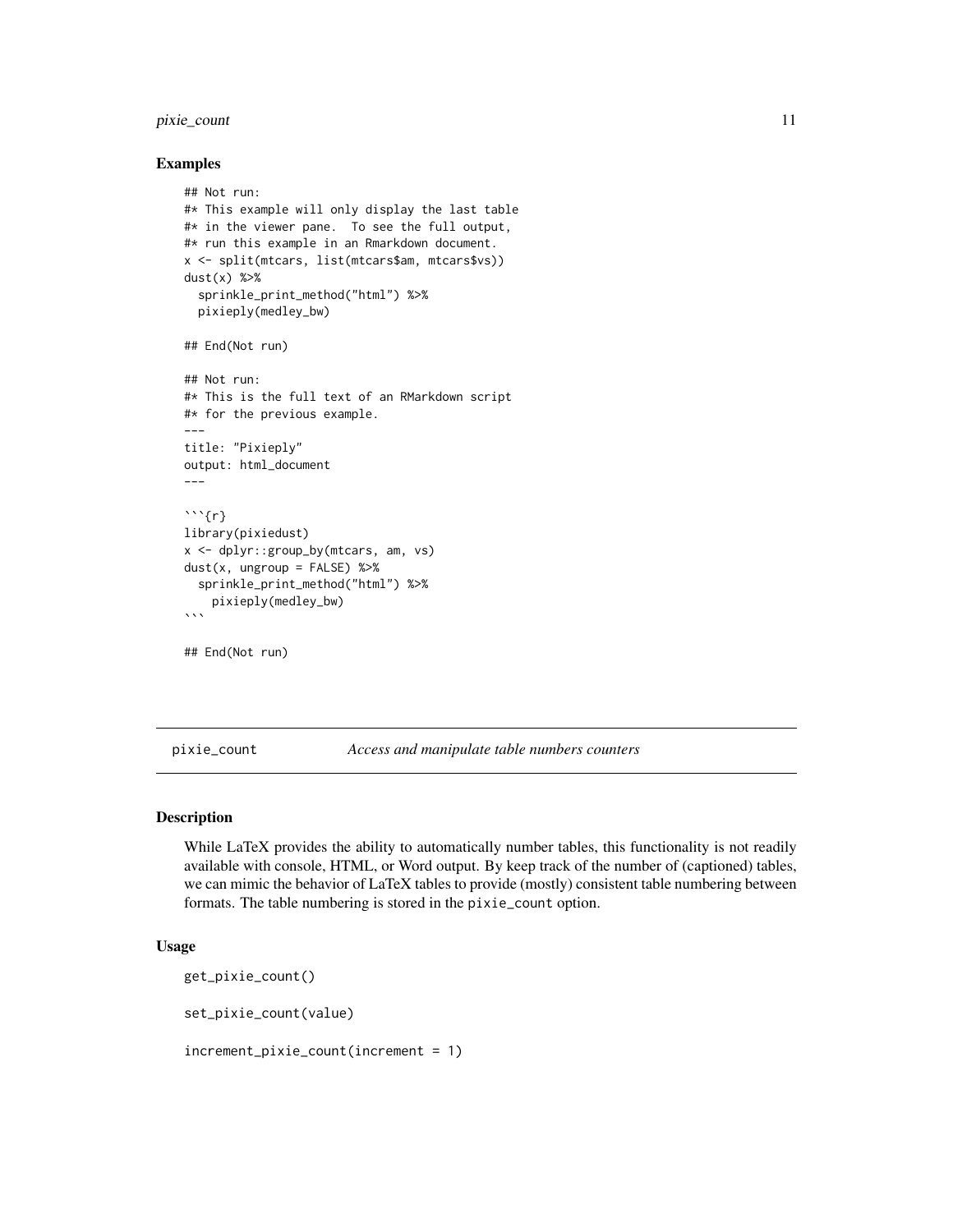### <span id="page-10-0"></span>pixie\_count 11

#### Examples

```
## Not run:
#* This example will only display the last table
#* in the viewer pane. To see the full output,
#* run this example in an Rmarkdown document.
x <- split(mtcars, list(mtcars$am, mtcars$vs))
dust(x) %>%
  sprinkle_print_method("html") %>%
  pixieply(medley_bw)
## End(Not run)
## Not run:
#* This is the full text of an RMarkdown script
#* for the previous example.
---
title: "Pixieply"
output: html_document
---
\cdots{r}
library(pixiedust)
x <- dplyr::group_by(mtcars, am, vs)
dust(x, ungroup = FALSE) %>%
  sprinkle_print_method("html") %>%
    pixieply(medley_bw)
\ddotsc## End(Not run)
```
pixie\_count *Access and manipulate table numbers counters*

#### Description

While LaTeX provides the ability to automatically number tables, this functionality is not readily available with console, HTML, or Word output. By keep track of the number of (captioned) tables, we can mimic the behavior of LaTeX tables to provide (mostly) consistent table numbering between formats. The table numbering is stored in the pixie\_count option.

#### Usage

get\_pixie\_count()

set\_pixie\_count(value)

increment\_pixie\_count(increment = 1)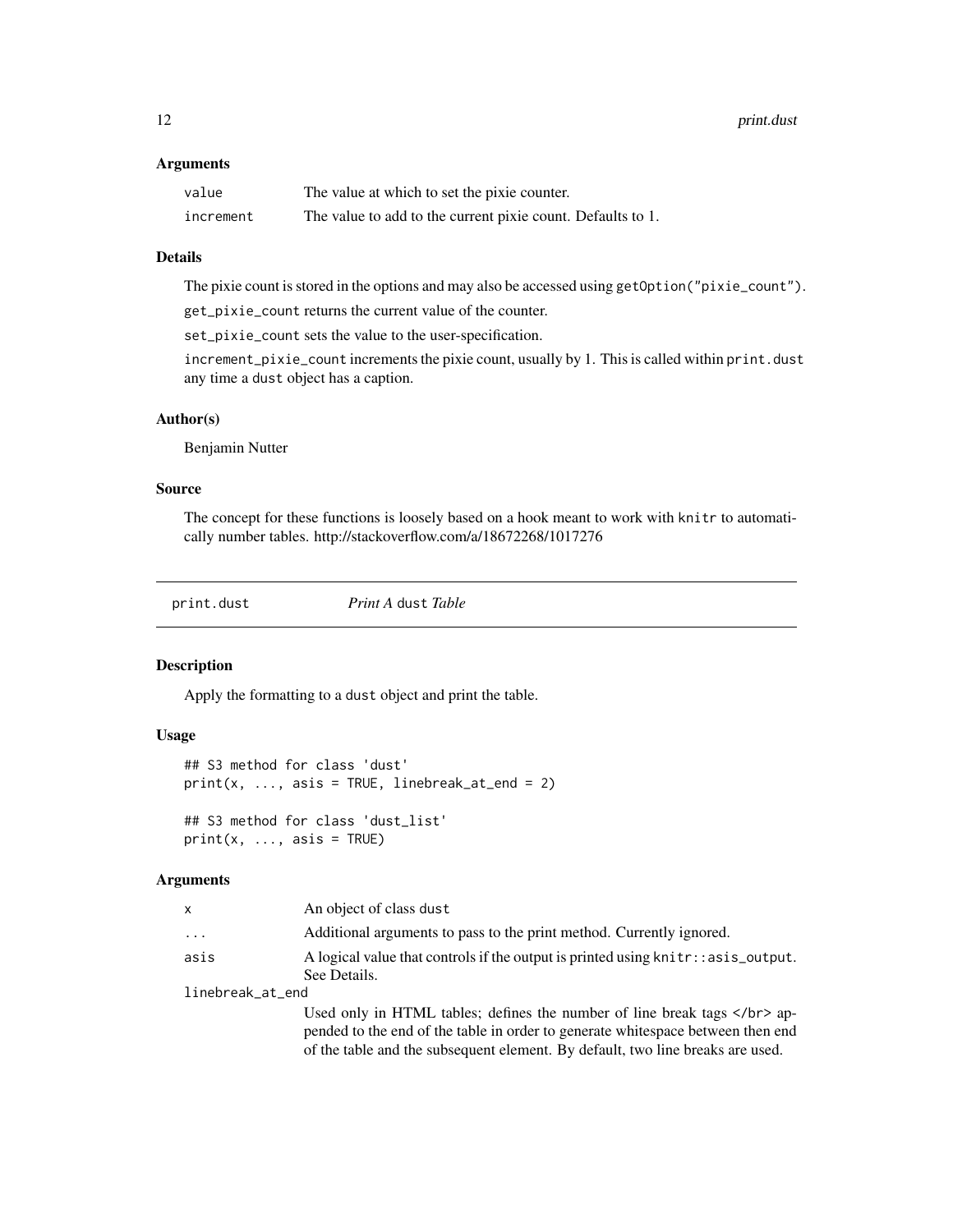#### <span id="page-11-0"></span>**Arguments**

| value     | The value at which to set the pixie counter.                |
|-----------|-------------------------------------------------------------|
| increment | The value to add to the current pixie count. Defaults to 1. |

#### Details

The pixie count is stored in the options and may also be accessed using getOption("pixie\_count").

get\_pixie\_count returns the current value of the counter.

set\_pixie\_count sets the value to the user-specification.

increment\_pixie\_count increments the pixie count, usually by 1. This is called within print.dust any time a dust object has a caption.

#### Author(s)

Benjamin Nutter

#### Source

The concept for these functions is loosely based on a hook meant to work with knitr to automatically number tables. http://stackoverflow.com/a/18672268/1017276

print.dust *Print A* dust *Table*

#### Description

Apply the formatting to a dust object and print the table.

#### Usage

```
## S3 method for class 'dust'
print(x, ..., \text{asis} = TRUE, linebreak_at_end = 2)## S3 method for class 'dust_list'
print(x, ..., \text{asis} = \text{TRUE})
```
#### Arguments

|          | An object of class dust                                                          |
|----------|----------------------------------------------------------------------------------|
| $\cdots$ | Additional arguments to pass to the print method. Currently ignored.             |
| asis     | A logical value that controls if the output is printed using knitr::asis_output. |
|          | See Details.                                                                     |

linebreak\_at\_end

Used only in HTML tables; defines the number of line break tags </br> </br>>ppended to the end of the table in order to generate whitespace between then end of the table and the subsequent element. By default, two line breaks are used.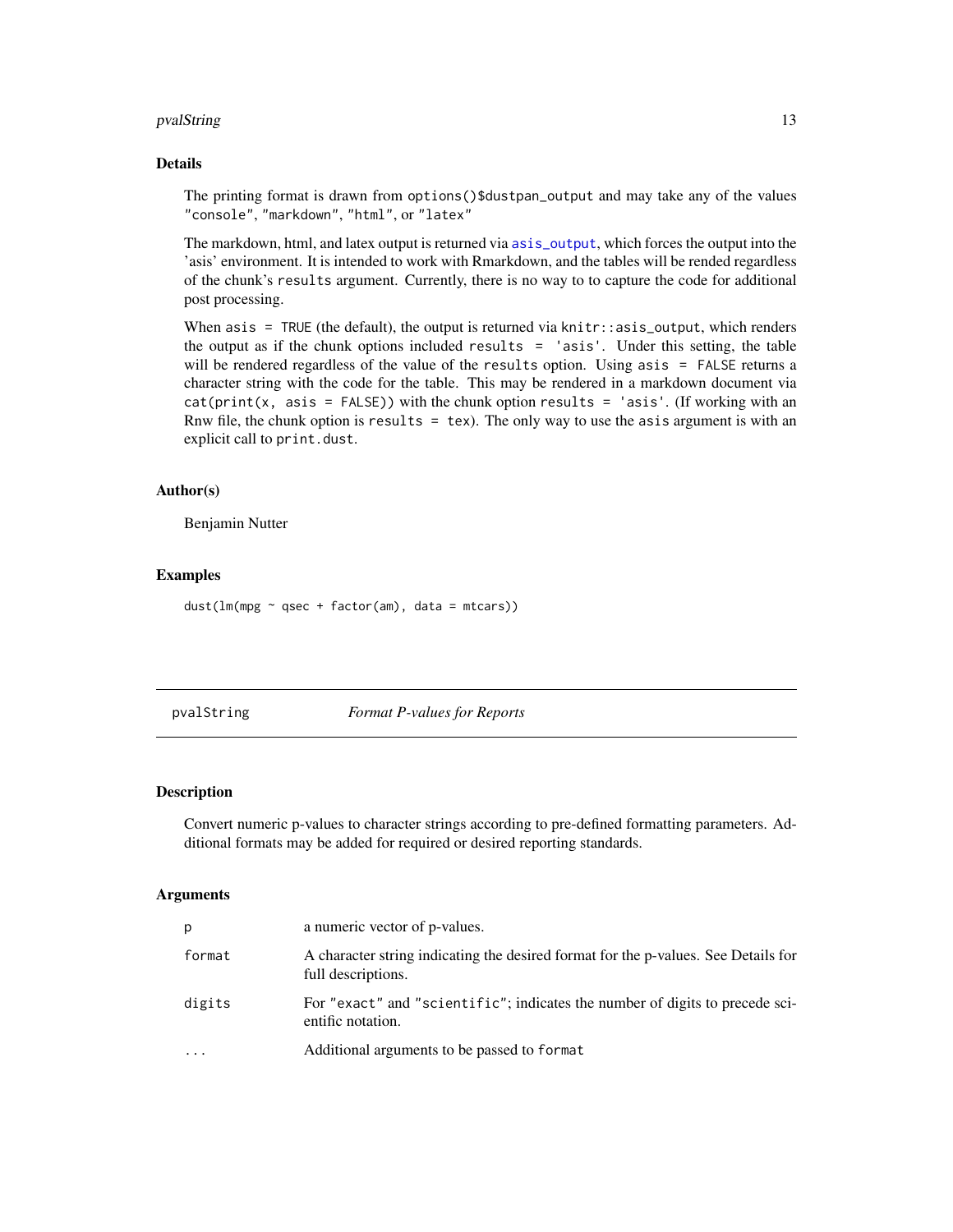### <span id="page-12-0"></span>pvalString 13

#### Details

The printing format is drawn from options()\$dustpan\_output and may take any of the values "console", "markdown", "html", or "latex"

The markdown, html, and latex output is returned via [asis\\_output](#page-0-0), which forces the output into the 'asis' environment. It is intended to work with Rmarkdown, and the tables will be rended regardless of the chunk's results argument. Currently, there is no way to to capture the code for additional post processing.

When asis = TRUE (the default), the output is returned via knitr::asis\_output, which renders the output as if the chunk options included results  $=$  'asis'. Under this setting, the table will be rendered regardless of the value of the results option. Using asis = FALSE returns a character string with the code for the table. This may be rendered in a markdown document via  $cat(print(x, \text{asis} = FALSE))$  with the chunk option results = 'asis'. (If working with an Rnw file, the chunk option is results  $=$  tex). The only way to use the asis argument is with an explicit call to print.dust.

#### Author(s)

Benjamin Nutter

#### Examples

dust( $lm(mpg \sim qsec + factor(am)$ , data = mtcars))

pvalString *Format P-values for Reports*

#### Description

Convert numeric p-values to character strings according to pre-defined formatting parameters. Additional formats may be added for required or desired reporting standards.

| p        | a numeric vector of p-values.                                                                            |
|----------|----------------------------------------------------------------------------------------------------------|
| format   | A character string indicating the desired format for the p-values. See Details for<br>full descriptions. |
| digits   | For "exact" and "scientific"; indicates the number of digits to precede sci-<br>entific notation.        |
| $\cdots$ | Additional arguments to be passed to format                                                              |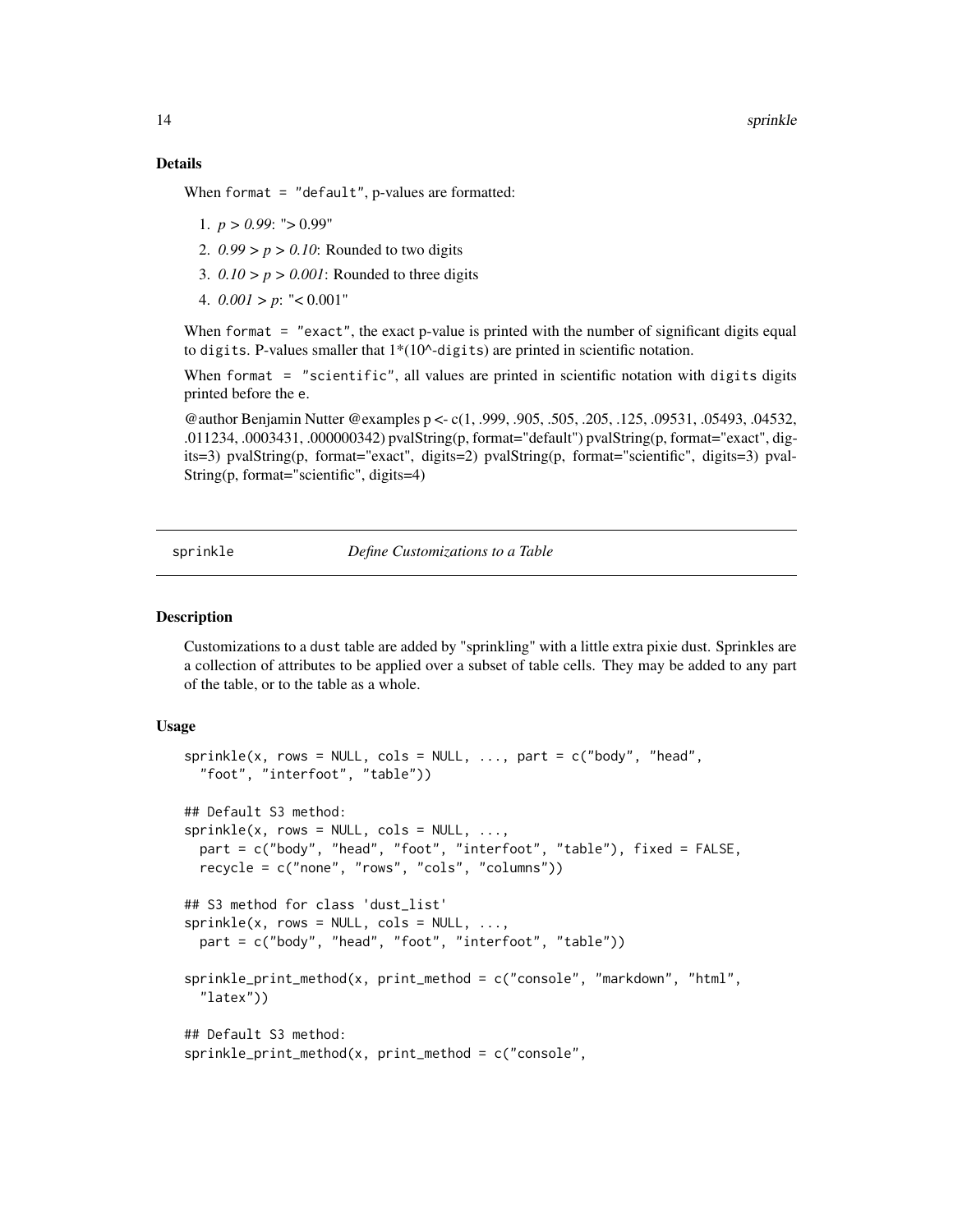#### Details

When format = "default", p-values are formatted:

- 1.  $p > 0.99$ : " $> 0.99$ "
- 2. *0.99 > p > 0.10*: Rounded to two digits
- 3.  $0.10 > p > 0.001$ : Rounded to three digits
- 4.  $0.001 > p$ : "<  $0.001$ "

When format = "exact", the exact p-value is printed with the number of significant digits equal to digits. P-values smaller that  $1*(10^{\wedge}$ -digits) are printed in scientific notation.

When format = "scientific", all values are printed in scientific notation with digits digits printed before the e.

@author Benjamin Nutter @examples p <- c(1, .999, .905, .505, .205, .125, .09531, .05493, .04532, .011234, .0003431, .000000342) pvalString(p, format="default") pvalString(p, format="exact", digits=3) pvalString(p, format="exact", digits=2) pvalString(p, format="scientific", digits=3) pval-String(p, format="scientific", digits=4)

<span id="page-13-1"></span>sprinkle *Define Customizations to a Table*

#### Description

Customizations to a dust table are added by "sprinkling" with a little extra pixie dust. Sprinkles are a collection of attributes to be applied over a subset of table cells. They may be added to any part of the table, or to the table as a whole.

#### Usage

```
spring(x, rows = NULL, cols = NULL, ..., part = c("body", "head","foot", "interfoot", "table"))
## Default S3 method:
sprinkle(x, rows = NULL, cols = NULL, ...part = c("body", "head", "foot", "interfoot", "table"), fixed = FALSE,
 recycle = c("none", "rows", "cols", "columns"))
## S3 method for class 'dust_list'
sprinkle(x, rows = NULL, cols = NULL, ...part = c("body", "head", "foot", "interfoot", "table"))
sprinkle_print_method(x, print_method = c("console", "markdown", "html",
  "latex"))
## Default S3 method:
sprinkle\_print\_method(x, print\_method = c("console",
```
<span id="page-13-0"></span>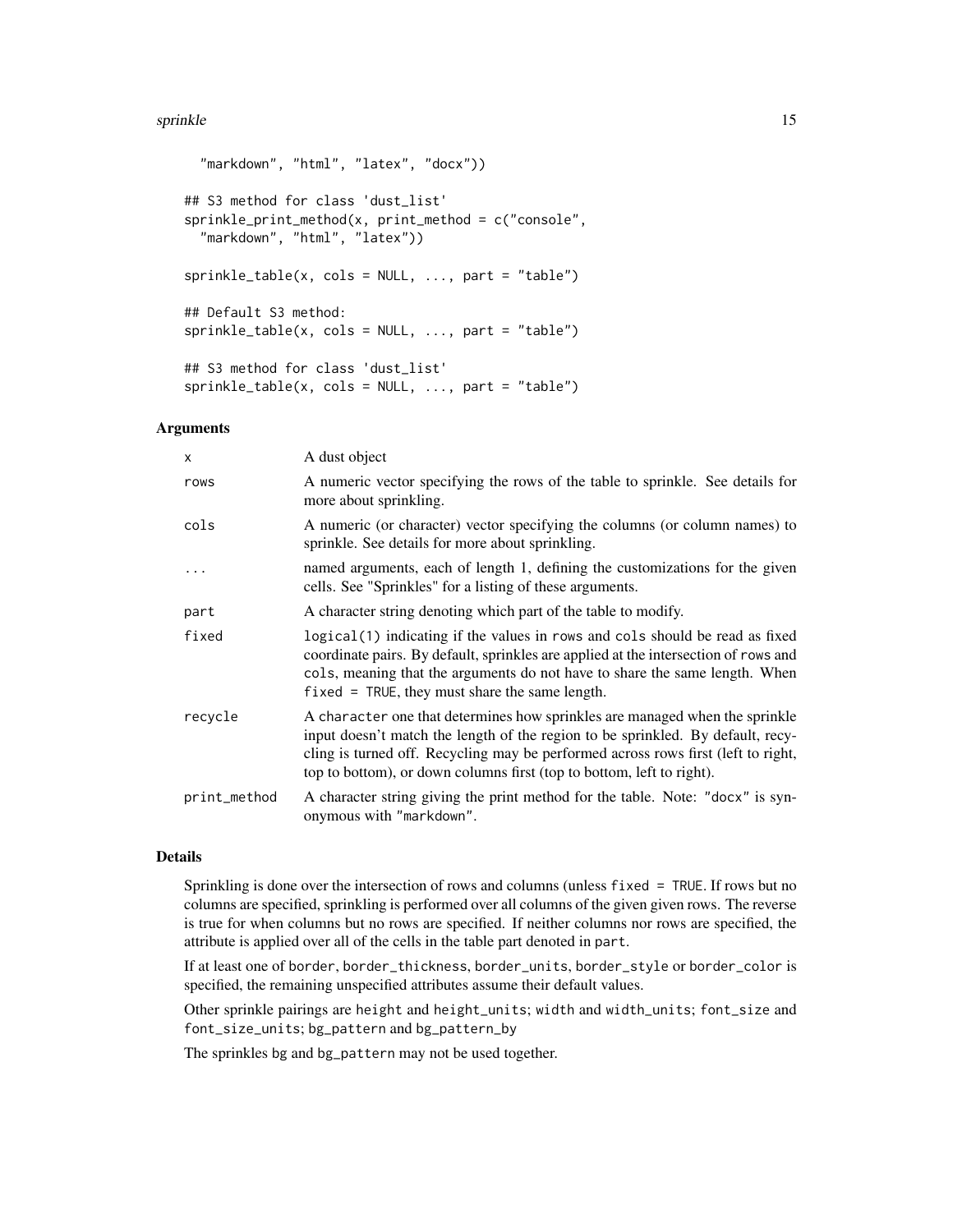#### sprinkle to the state of the state of the state of the state of the state of the state of the state of the state of the state of the state of the state of the state of the state of the state of the state of the state of th

```
"markdown", "html", "latex", "docx"))
## S3 method for class 'dust_list'
sprinkle\_print\_method(x, print\_method = c("console","markdown", "html", "latex"))
sprinkle_table(x, <math>cols = NULL, ..., part = "table")## Default S3 method:
sprinkle_table(x, <math>cols = NULL, ..., part = "table")## S3 method for class 'dust_list'
sprinkle_table(x, <math>cols = NULL, ..., part = "table")
```
### Arguments

| $\mathsf{x}$ | A dust object                                                                                                                                                                                                                                                                                                                |
|--------------|------------------------------------------------------------------------------------------------------------------------------------------------------------------------------------------------------------------------------------------------------------------------------------------------------------------------------|
| rows         | A numeric vector specifying the rows of the table to sprinkle. See details for<br>more about sprinkling.                                                                                                                                                                                                                     |
| cols         | A numeric (or character) vector specifying the columns (or column names) to<br>sprinkle. See details for more about sprinkling.                                                                                                                                                                                              |
|              | named arguments, each of length 1, defining the customizations for the given<br>cells. See "Sprinkles" for a listing of these arguments.                                                                                                                                                                                     |
| part         | A character string denoting which part of the table to modify.                                                                                                                                                                                                                                                               |
| fixed        | logical (1) indicating if the values in rows and cols should be read as fixed<br>coordinate pairs. By default, sprinkles are applied at the intersection of rows and<br>cols, meaning that the arguments do not have to share the same length. When<br>$fixed = TRUE$ , they must share the same length.                     |
| recycle      | A character one that determines how sprinkles are managed when the sprinkle<br>input doesn't match the length of the region to be sprinkled. By default, recy-<br>cling is turned off. Recycling may be performed across rows first (left to right,<br>top to bottom), or down columns first (top to bottom, left to right). |
| print_method | A character string giving the print method for the table. Note: "docx" is syn-<br>onymous with "markdown".                                                                                                                                                                                                                   |

### Details

Sprinkling is done over the intersection of rows and columns (unless fixed = TRUE. If rows but no columns are specified, sprinkling is performed over all columns of the given given rows. The reverse is true for when columns but no rows are specified. If neither columns nor rows are specified, the attribute is applied over all of the cells in the table part denoted in part.

If at least one of border, border\_thickness, border\_units, border\_style or border\_color is specified, the remaining unspecified attributes assume their default values.

Other sprinkle pairings are height and height\_units; width and width\_units; font\_size and font\_size\_units; bg\_pattern and bg\_pattern\_by

The sprinkles bg and bg\_pattern may not be used together.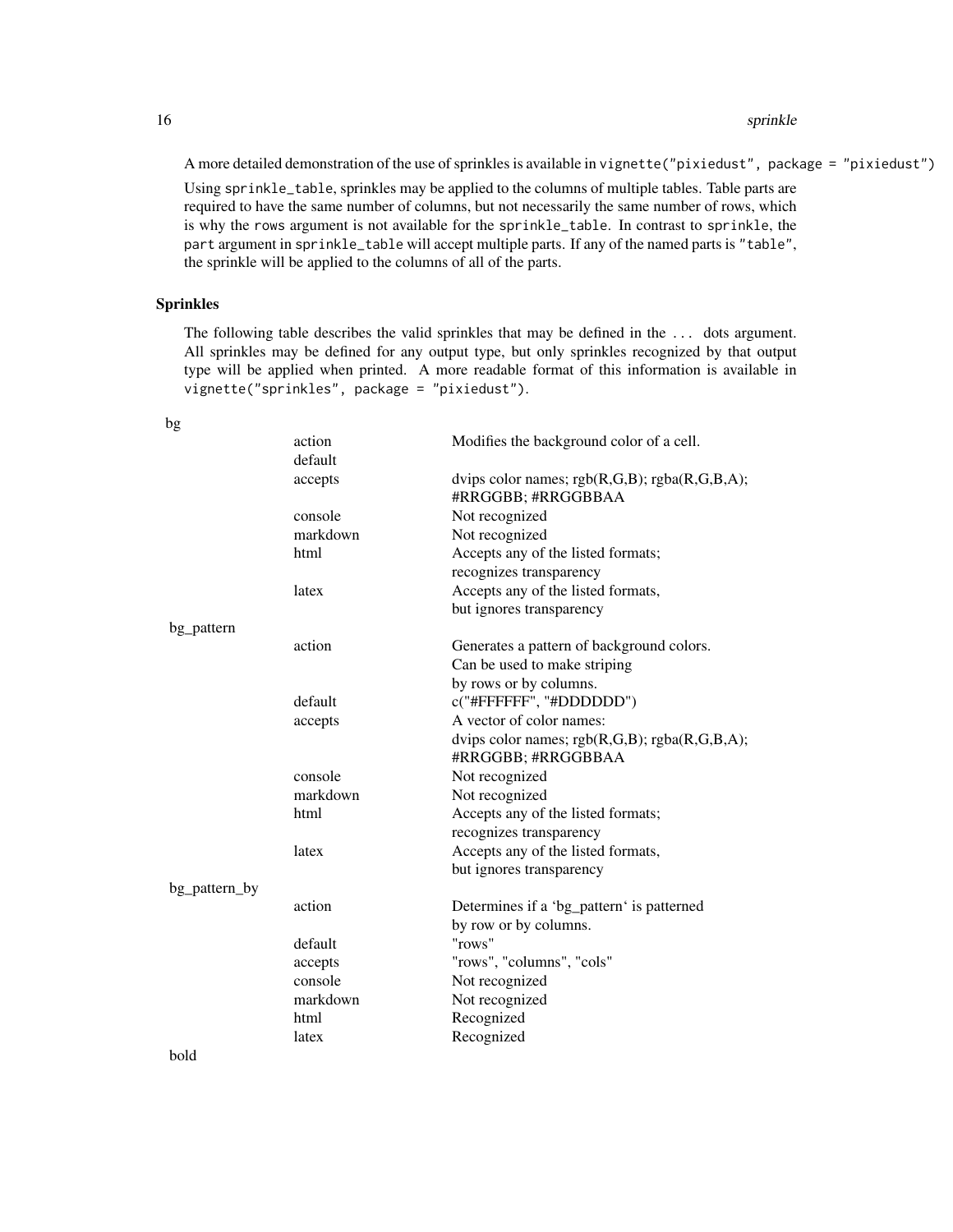A more detailed demonstration of the use of sprinkles is available in vignette("pixiedust", package = "pixiedust")

Using sprinkle\_table, sprinkles may be applied to the columns of multiple tables. Table parts are required to have the same number of columns, but not necessarily the same number of rows, which is why the rows argument is not available for the sprinkle\_table. In contrast to sprinkle, the part argument in sprinkle\_table will accept multiple parts. If any of the named parts is "table", the sprinkle will be applied to the columns of all of the parts.

#### Sprinkles

The following table describes the valid sprinkles that may be defined in the ... dots argument. All sprinkles may be defined for any output type, but only sprinkles recognized by that output type will be applied when printed. A more readable format of this information is available in vignette("sprinkles", package = "pixiedust").

|               | action   | Modifies the background color of a cell.                              |
|---------------|----------|-----------------------------------------------------------------------|
|               | default  |                                                                       |
|               | accepts  | dvips color names; $rgb(R,G,B); rgba(R,G,B,A);$<br>#RRGGBB; #RRGGBBAA |
|               | console  | Not recognized                                                        |
|               | markdown | Not recognized                                                        |
|               | html     | Accepts any of the listed formats;                                    |
|               |          | recognizes transparency                                               |
|               | latex    | Accepts any of the listed formats,                                    |
|               |          | but ignores transparency                                              |
| bg_pattern    |          |                                                                       |
|               | action   | Generates a pattern of background colors.                             |
|               |          | Can be used to make striping                                          |
|               |          | by rows or by columns.                                                |
|               | default  | c("#FFFFFF", "#DDDDDD")                                               |
|               | accepts  | A vector of color names:                                              |
|               |          | dvips color names; $rgb(R,G,B); rgba(R,G,B,A);$                       |
|               |          | #RRGGBB; #RRGGBBAA                                                    |
|               | console  | Not recognized                                                        |
|               | markdown | Not recognized                                                        |
|               | html     | Accepts any of the listed formats;                                    |
|               |          | recognizes transparency                                               |
|               | latex    | Accepts any of the listed formats,                                    |
|               |          | but ignores transparency                                              |
| bg_pattern_by |          |                                                                       |
|               | action   | Determines if a 'bg_pattern' is patterned                             |
|               |          | by row or by columns.                                                 |
|               | default  | "rows"                                                                |
|               | accepts  | "rows", "columns", "cols"                                             |
|               | console  | Not recognized                                                        |
|               | markdown | Not recognized                                                        |
|               | html     | Recognized                                                            |
|               | latex    | Recognized                                                            |
| hold          |          |                                                                       |

bg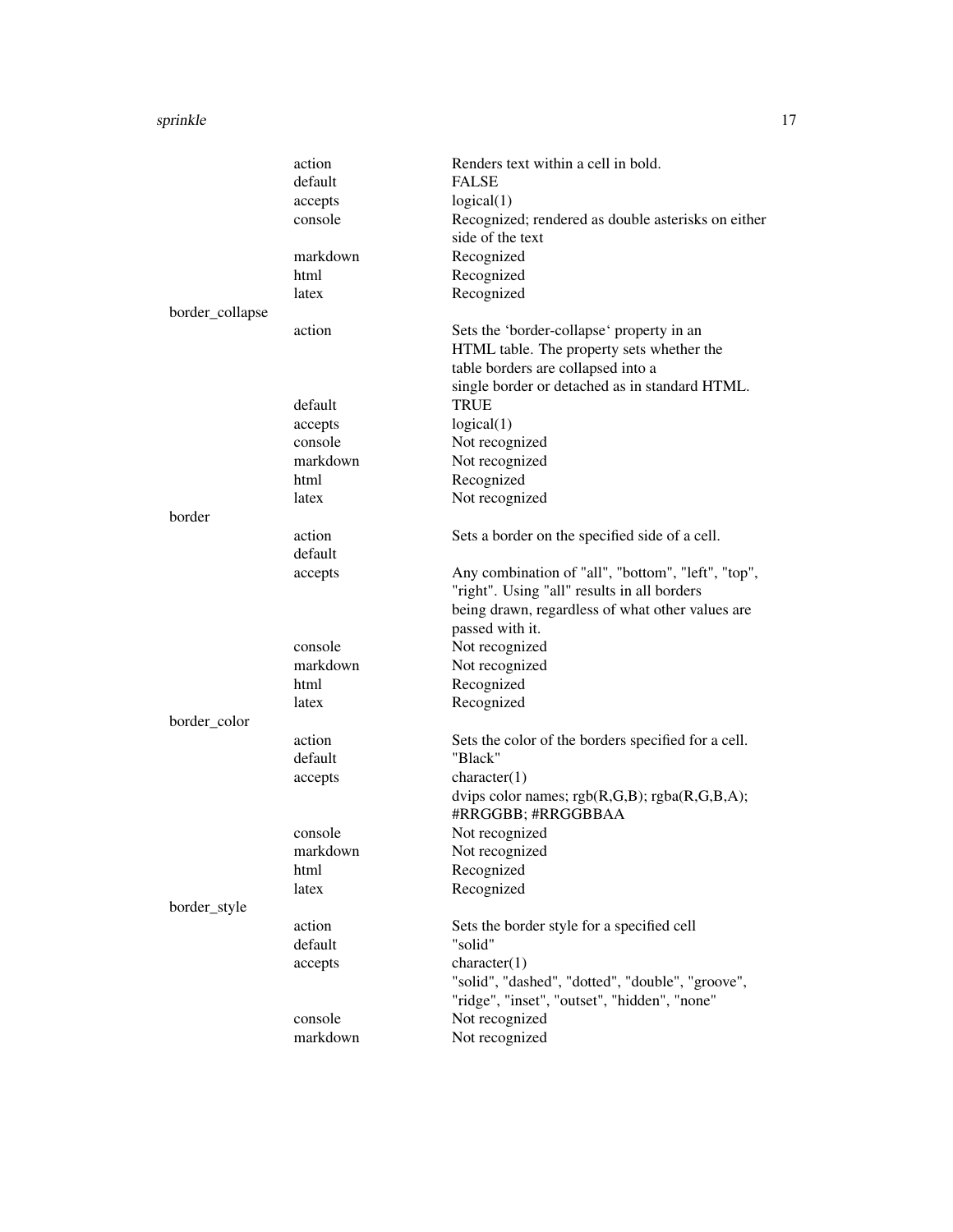#### sprinkle to the state of the state of the state of the state of the state of the state of the state of the state of the state of the state of the state of the state of the state of the state of the state of the state of th

|                 | action   | Renders text within a cell in bold.                                    |
|-----------------|----------|------------------------------------------------------------------------|
|                 | default  | <b>FALSE</b>                                                           |
|                 | accepts  | logical(1)                                                             |
|                 | console  | Recognized; rendered as double asterisks on either<br>side of the text |
|                 | markdown | Recognized                                                             |
|                 | html     | Recognized                                                             |
|                 | latex    | Recognized                                                             |
| border_collapse |          |                                                                        |
|                 | action   | Sets the 'border-collapse' property in an                              |
|                 |          | HTML table. The property sets whether the                              |
|                 |          | table borders are collapsed into a                                     |
|                 |          | single border or detached as in standard HTML.                         |
|                 | default  | TRUE                                                                   |
|                 | accepts  | logical(1)                                                             |
|                 | console  | Not recognized                                                         |
|                 | markdown | Not recognized                                                         |
|                 | html     | Recognized                                                             |
|                 | latex    | Not recognized                                                         |
| border          |          |                                                                        |
|                 | action   | Sets a border on the specified side of a cell.                         |
|                 | default  |                                                                        |
|                 | accepts  | Any combination of "all", "bottom", "left", "top",                     |
|                 |          | "right". Using "all" results in all borders                            |
|                 |          | being drawn, regardless of what other values are                       |
|                 |          | passed with it.                                                        |
|                 | console  | Not recognized                                                         |
|                 | markdown | Not recognized                                                         |
|                 | html     | Recognized                                                             |
|                 | latex    | Recognized                                                             |
| border_color    |          |                                                                        |
|                 | action   | Sets the color of the borders specified for a cell.                    |
|                 | default  | "Black"                                                                |
|                 | accepts  | character(1)                                                           |
|                 |          | dvips color names; $rgb(R,G,B); rgba(R,G,B,A);$<br>#RRGGBB; #RRGGBBAA  |
|                 | console  | Not recognized                                                         |
|                 | markdown | Not recognized                                                         |
|                 | html     | Recognized                                                             |
|                 | latex    | Recognized                                                             |
| border_style    |          |                                                                        |
|                 | action   | Sets the border style for a specified cell                             |
|                 | default  | "solid"                                                                |
|                 | accepts  | character(1)                                                           |
|                 |          | "solid", "dashed", "dotted", "double", "groove",                       |
|                 |          | "ridge", "inset", "outset", "hidden", "none"                           |
|                 | console  | Not recognized                                                         |
|                 | markdown | Not recognized                                                         |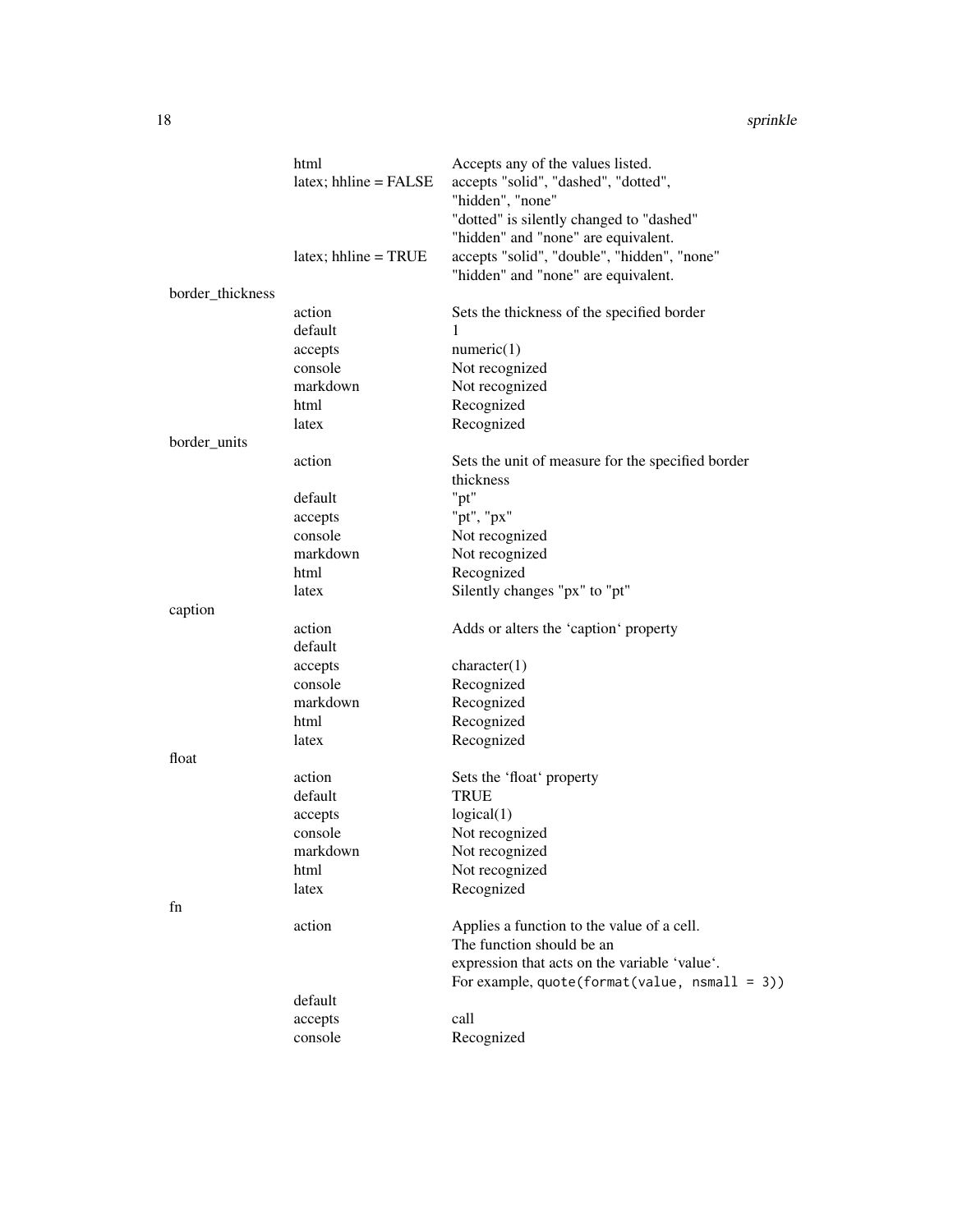|                  | html<br>$lates$ ; hhline = FALSE | Accepts any of the values listed.<br>accepts "solid", "dashed", "dotted",          |
|------------------|----------------------------------|------------------------------------------------------------------------------------|
|                  |                                  | "hidden", "none"<br>"dotted" is silently changed to "dashed"                       |
|                  |                                  | "hidden" and "none" are equivalent.                                                |
|                  | $\text{later}$ ; hhline = TRUE   | accepts "solid", "double", "hidden", "none"<br>"hidden" and "none" are equivalent. |
| border_thickness |                                  |                                                                                    |
|                  | action                           | Sets the thickness of the specified border                                         |
|                  | default                          | 1                                                                                  |
|                  | accepts                          | numeric(1)                                                                         |
|                  | console                          | Not recognized                                                                     |
|                  | markdown                         | Not recognized                                                                     |
|                  | html                             | Recognized                                                                         |
|                  | latex                            | Recognized                                                                         |
| border_units     |                                  |                                                                                    |
|                  | action                           | Sets the unit of measure for the specified border                                  |
|                  |                                  | thickness                                                                          |
|                  | default                          | "pt"                                                                               |
|                  | accepts                          | "pt", "px"                                                                         |
|                  | console                          | Not recognized                                                                     |
|                  | markdown                         | Not recognized                                                                     |
|                  | html                             | Recognized                                                                         |
|                  | latex                            | Silently changes "px" to "pt"                                                      |
| caption          |                                  |                                                                                    |
|                  | action                           | Adds or alters the 'caption' property                                              |
|                  | default                          |                                                                                    |
|                  | accepts                          | character(1)                                                                       |
|                  | console                          | Recognized                                                                         |
|                  | markdown                         | Recognized                                                                         |
|                  | html                             | Recognized                                                                         |
|                  | latex                            | Recognized                                                                         |
| float            |                                  |                                                                                    |
|                  | action                           | Sets the 'float' property                                                          |
|                  | default                          | <b>TRUE</b>                                                                        |
|                  | accepts                          | logical(1)                                                                         |
|                  | console                          | Not recognized                                                                     |
|                  | markdown                         | Not recognized                                                                     |
|                  | html                             | Not recognized                                                                     |
|                  | latex                            | Recognized                                                                         |
| fn               |                                  |                                                                                    |
|                  | action                           | Applies a function to the value of a cell.                                         |
|                  |                                  | The function should be an                                                          |
|                  |                                  | expression that acts on the variable 'value'.                                      |
|                  |                                  | For example, $quote(format(value, nsmall = 3))$                                    |
|                  | default                          |                                                                                    |
|                  | accepts                          | call                                                                               |
|                  | console                          | Recognized                                                                         |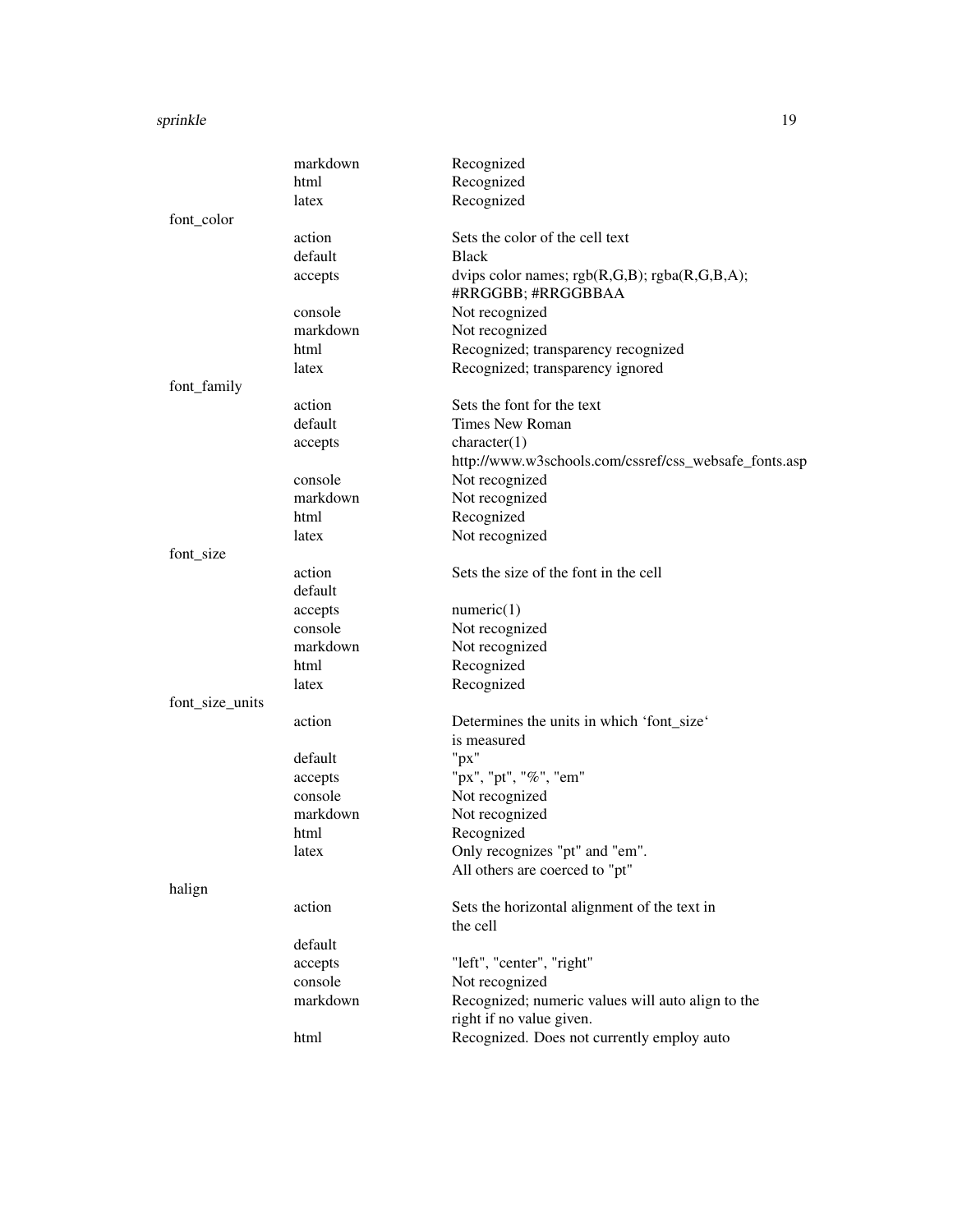#### sprinkle to the state of the state of the state of the state of the state of the state of the state of the state of the state of the state of the state of the state of the state of the state of the state of the state of th

|                 | markdown | Recognized                                                            |
|-----------------|----------|-----------------------------------------------------------------------|
|                 | html     | Recognized                                                            |
|                 | latex    | Recognized                                                            |
| font_color      |          |                                                                       |
|                 | action   | Sets the color of the cell text                                       |
|                 | default  | <b>Black</b>                                                          |
|                 | accepts  | dvips color names; $rgb(R,G,B); rgba(R,G,B,A);$<br>#RRGGBB; #RRGGBBAA |
|                 | console  | Not recognized                                                        |
|                 | markdown | Not recognized                                                        |
|                 | html     | Recognized; transparency recognized                                   |
|                 | latex    | Recognized; transparency ignored                                      |
| font_family     |          |                                                                       |
|                 | action   | Sets the font for the text                                            |
|                 | default  | <b>Times New Roman</b>                                                |
|                 | accepts  | character(1)                                                          |
|                 |          | http://www.w3schools.com/cssref/css_websafe_fonts.asp                 |
|                 | console  | Not recognized                                                        |
|                 | markdown | Not recognized                                                        |
|                 | html     | Recognized                                                            |
|                 | latex    | Not recognized                                                        |
| font_size       |          |                                                                       |
|                 | action   | Sets the size of the font in the cell                                 |
|                 | default  |                                                                       |
|                 | accepts  | numeric(1)                                                            |
|                 | console  | Not recognized                                                        |
|                 | markdown | Not recognized                                                        |
|                 | html     | Recognized                                                            |
|                 | latex    | Recognized                                                            |
| font_size_units |          |                                                                       |
|                 | action   | Determines the units in which 'font_size'                             |
|                 |          | is measured                                                           |
|                 | default  | " $px$ "                                                              |
|                 | accepts  | "px", "pt", "%", "em"                                                 |
|                 | console  | Not recognized                                                        |
|                 | markdown | Not recognized                                                        |
|                 | html     | Recognized                                                            |
|                 | latex    | Only recognizes "pt" and "em".                                        |
|                 |          | All others are coerced to "pt"                                        |
| halign          |          |                                                                       |
|                 | action   | Sets the horizontal alignment of the text in                          |
|                 |          | the cell                                                              |
|                 | default  |                                                                       |
|                 | accepts  | "left", "center", "right"                                             |
|                 | console  | Not recognized                                                        |
|                 | markdown | Recognized; numeric values will auto align to the                     |
|                 |          | right if no value given.                                              |
|                 | html     | Recognized. Does not currently employ auto                            |
|                 |          |                                                                       |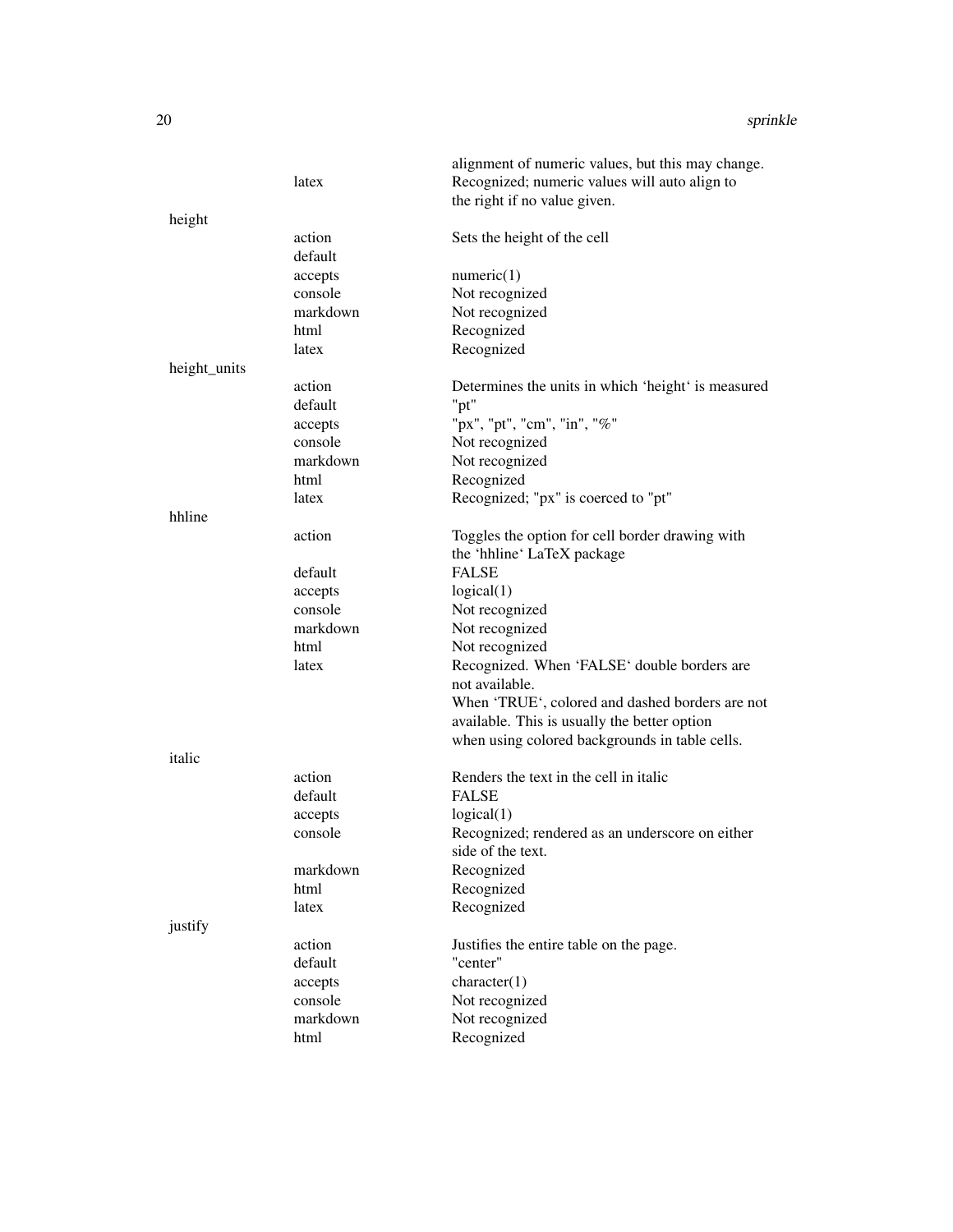|              |          | alignment of numeric values, but this may change.  |
|--------------|----------|----------------------------------------------------|
|              | latex    | Recognized; numeric values will auto align to      |
|              |          | the right if no value given.                       |
| height       |          |                                                    |
|              | action   | Sets the height of the cell                        |
|              | default  |                                                    |
|              | accepts  | numeric(1)                                         |
|              | console  | Not recognized                                     |
|              | markdown | Not recognized                                     |
|              | html     | Recognized                                         |
|              | latex    | Recognized                                         |
| height_units |          |                                                    |
|              | action   | Determines the units in which 'height' is measured |
|              | default  | "pt"                                               |
|              | accepts  | "px", "pt", "cm", "in", "%"                        |
|              | console  | Not recognized                                     |
|              | markdown | Not recognized                                     |
|              | html     | Recognized                                         |
|              | latex    | Recognized; "px" is coerced to "pt"                |
| hhline       |          |                                                    |
|              | action   | Toggles the option for cell border drawing with    |
|              |          | the 'hhline' LaTeX package                         |
|              | default  | <b>FALSE</b>                                       |
|              | accepts  | logical(1)                                         |
|              | console  | Not recognized                                     |
|              | markdown | Not recognized                                     |
|              | html     | Not recognized                                     |
|              | latex    | Recognized. When 'FALSE' double borders are        |
|              |          | not available.                                     |
|              |          | When 'TRUE', colored and dashed borders are not    |
|              |          | available. This is usually the better option       |
|              |          | when using colored backgrounds in table cells.     |
| italic       |          |                                                    |
|              | action   | Renders the text in the cell in italic             |
|              | default  | <b>FALSE</b>                                       |
|              | accepts  | logical(1)                                         |
|              | console  | Recognized; rendered as an underscore on either    |
|              |          | side of the text.                                  |
|              | markdown | Recognized                                         |
|              | html     | Recognized                                         |
|              | latex    | Recognized                                         |
| justify      |          |                                                    |
|              | action   | Justifies the entire table on the page.            |
|              | default  | "center"                                           |
|              | accepts  | character(1)                                       |
|              | console  | Not recognized                                     |
|              | markdown | Not recognized                                     |
|              | html     | Recognized                                         |
|              |          |                                                    |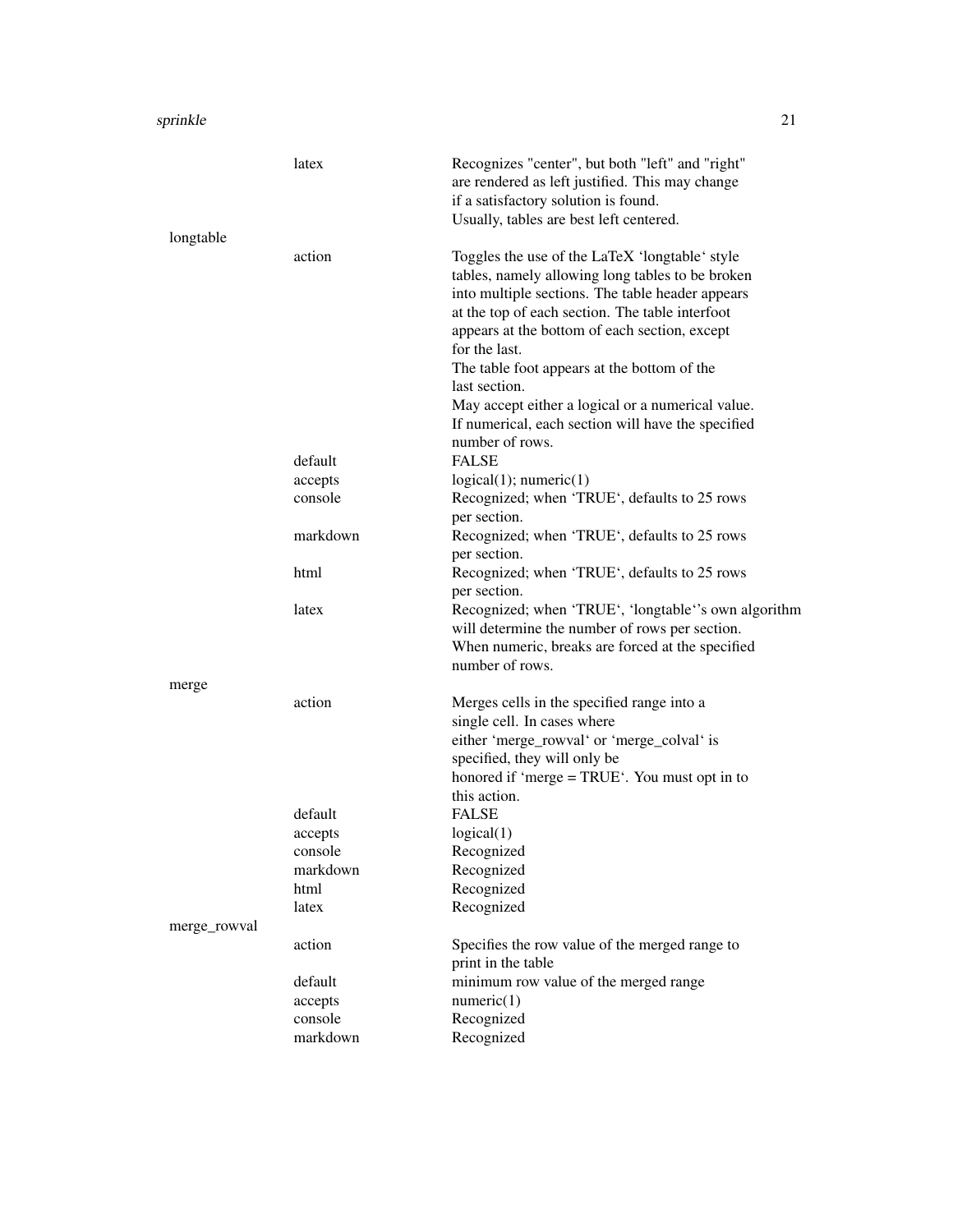|              | latex              | Recognizes "center", but both "left" and "right"<br>are rendered as left justified. This may change<br>if a satisfactory solution is found.<br>Usually, tables are best left centered.                                                                                      |
|--------------|--------------------|-----------------------------------------------------------------------------------------------------------------------------------------------------------------------------------------------------------------------------------------------------------------------------|
| longtable    |                    |                                                                                                                                                                                                                                                                             |
|              | action             | Toggles the use of the LaTeX 'longtable' style<br>tables, namely allowing long tables to be broken<br>into multiple sections. The table header appears<br>at the top of each section. The table interfoot<br>appears at the bottom of each section, except<br>for the last. |
|              |                    | The table foot appears at the bottom of the<br>last section.                                                                                                                                                                                                                |
|              |                    | May accept either a logical or a numerical value.<br>If numerical, each section will have the specified<br>number of rows.                                                                                                                                                  |
|              | default            | <b>FALSE</b>                                                                                                                                                                                                                                                                |
|              | accepts            | logical(1); numeric(1)                                                                                                                                                                                                                                                      |
|              | console            | Recognized; when 'TRUE', defaults to 25 rows<br>per section.                                                                                                                                                                                                                |
|              | markdown           | Recognized; when 'TRUE', defaults to 25 rows<br>per section.                                                                                                                                                                                                                |
|              | html               | Recognized; when 'TRUE', defaults to 25 rows<br>per section.                                                                                                                                                                                                                |
|              | latex              | Recognized; when 'TRUE', 'longtable''s own algorithm<br>will determine the number of rows per section.<br>When numeric, breaks are forced at the specified<br>number of rows.                                                                                               |
| merge        |                    |                                                                                                                                                                                                                                                                             |
|              | action             | Merges cells in the specified range into a<br>single cell. In cases where<br>either 'merge_rowval' or 'merge_colval' is<br>specified, they will only be<br>honored if 'merge = TRUE'. You must opt in to<br>this action.                                                    |
|              | default            | <b>FALSE</b>                                                                                                                                                                                                                                                                |
|              | accepts            | logical(1)                                                                                                                                                                                                                                                                  |
|              | console            | Recognized                                                                                                                                                                                                                                                                  |
|              | markdown<br>html   | Recognized<br>Recognized                                                                                                                                                                                                                                                    |
|              | latex              | Recognized                                                                                                                                                                                                                                                                  |
| merge_rowval |                    |                                                                                                                                                                                                                                                                             |
|              | action             | Specifies the row value of the merged range to<br>print in the table                                                                                                                                                                                                        |
|              | default<br>accepts | minimum row value of the merged range<br>numeric(1)                                                                                                                                                                                                                         |
|              | console            | Recognized                                                                                                                                                                                                                                                                  |
|              | markdown           | Recognized                                                                                                                                                                                                                                                                  |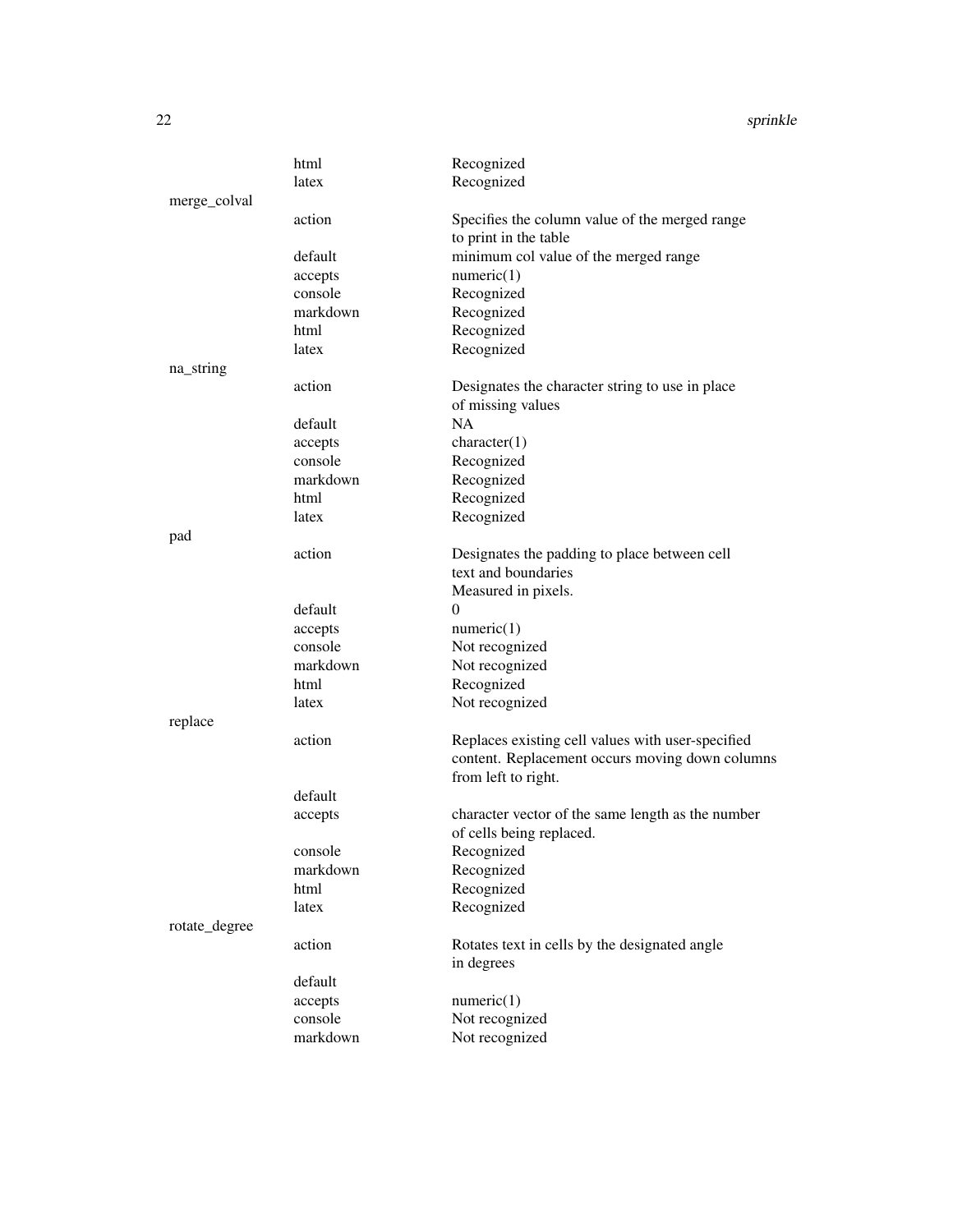|               | html     | Recognized                                        |
|---------------|----------|---------------------------------------------------|
|               | latex    | Recognized                                        |
| merge_colval  |          |                                                   |
|               | action   | Specifies the column value of the merged range    |
|               |          | to print in the table                             |
|               | default  | minimum col value of the merged range             |
|               | accepts  | numeric(1)                                        |
|               | console  | Recognized                                        |
|               | markdown | Recognized                                        |
|               | html     | Recognized                                        |
|               | latex    | Recognized                                        |
| na_string     |          |                                                   |
|               | action   | Designates the character string to use in place   |
|               |          | of missing values                                 |
|               | default  | <b>NA</b>                                         |
|               | accepts  | character(1)                                      |
|               | console  | Recognized                                        |
|               | markdown | Recognized                                        |
|               | html     | Recognized                                        |
|               | latex    | Recognized                                        |
| pad           |          |                                                   |
|               | action   | Designates the padding to place between cell      |
|               |          | text and boundaries                               |
|               |          | Measured in pixels.                               |
|               | default  | $\theta$                                          |
|               | accepts  | numeric(1)                                        |
|               | console  | Not recognized                                    |
|               | markdown | Not recognized                                    |
|               | html     | Recognized                                        |
|               | latex    | Not recognized                                    |
| replace       |          |                                                   |
|               | action   | Replaces existing cell values with user-specified |
|               |          | content. Replacement occurs moving down columns   |
|               |          | from left to right.                               |
|               | default  |                                                   |
|               | accepts  | character vector of the same length as the number |
|               |          | of cells being replaced.                          |
|               | console  | Recognized                                        |
|               | markdown | Recognized                                        |
|               | html     | Recognized                                        |
|               | latex    | Recognized                                        |
| rotate_degree |          |                                                   |
|               | action   | Rotates text in cells by the designated angle     |
|               |          | in degrees                                        |
|               | default  |                                                   |
|               | accepts  | numeric(1)                                        |
|               | console  | Not recognized                                    |
|               | markdown | Not recognized                                    |
|               |          |                                                   |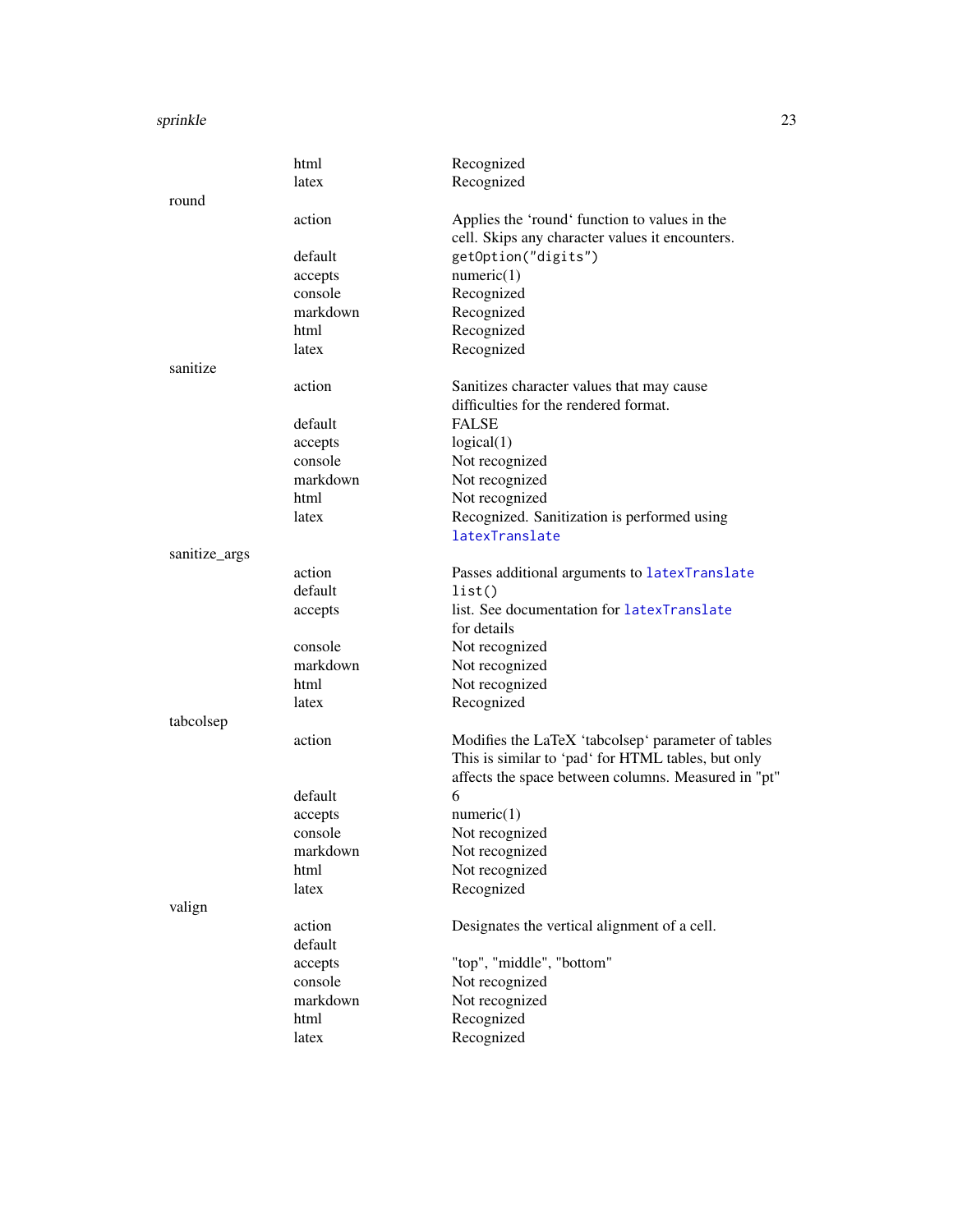<span id="page-22-0"></span>

|               | html     | Recognized                                          |
|---------------|----------|-----------------------------------------------------|
|               | latex    | Recognized                                          |
| round         |          |                                                     |
|               | action   | Applies the 'round' function to values in the       |
|               |          | cell. Skips any character values it encounters.     |
|               | default  | getOption("digits")                                 |
|               | accepts  | numeric(1)                                          |
|               | console  | Recognized                                          |
|               | markdown | Recognized                                          |
|               | html     | Recognized                                          |
|               | latex    | Recognized                                          |
| sanitize      |          |                                                     |
|               | action   | Sanitizes character values that may cause           |
|               |          | difficulties for the rendered format.               |
|               | default  | <b>FALSE</b>                                        |
|               | accepts  | logical(1)                                          |
|               | console  | Not recognized                                      |
|               | markdown | Not recognized                                      |
|               | html     | Not recognized                                      |
|               | latex    | Recognized. Sanitization is performed using         |
|               |          | latexTranslate                                      |
| sanitize_args |          |                                                     |
|               | action   | Passes additional arguments to latexTranslate       |
|               | default  | list()                                              |
|               | accepts  | list. See documentation for latexTranslate          |
|               |          | for details                                         |
|               | console  | Not recognized                                      |
|               | markdown | Not recognized                                      |
|               | html     | Not recognized                                      |
|               | latex    | Recognized                                          |
| tabcolsep     |          |                                                     |
|               | action   | Modifies the LaTeX 'tabcolsep' parameter of tables  |
|               |          | This is similar to 'pad' for HTML tables, but only  |
|               |          | affects the space between columns. Measured in "pt" |
|               | default  | 6                                                   |
|               | accepts  | numeric(1)                                          |
|               | console  | Not recognized                                      |
|               | markdown | Not recognized                                      |
|               | html     | Not recognized                                      |
|               | latex    | Recognized                                          |
| valign        |          |                                                     |
|               | action   | Designates the vertical alignment of a cell.        |
|               | default  |                                                     |
|               | accepts  | "top", "middle", "bottom"                           |
|               | console  | Not recognized                                      |
|               | markdown | Not recognized                                      |
|               | html     | Recognized                                          |
|               | latex    | Recognized                                          |
|               |          |                                                     |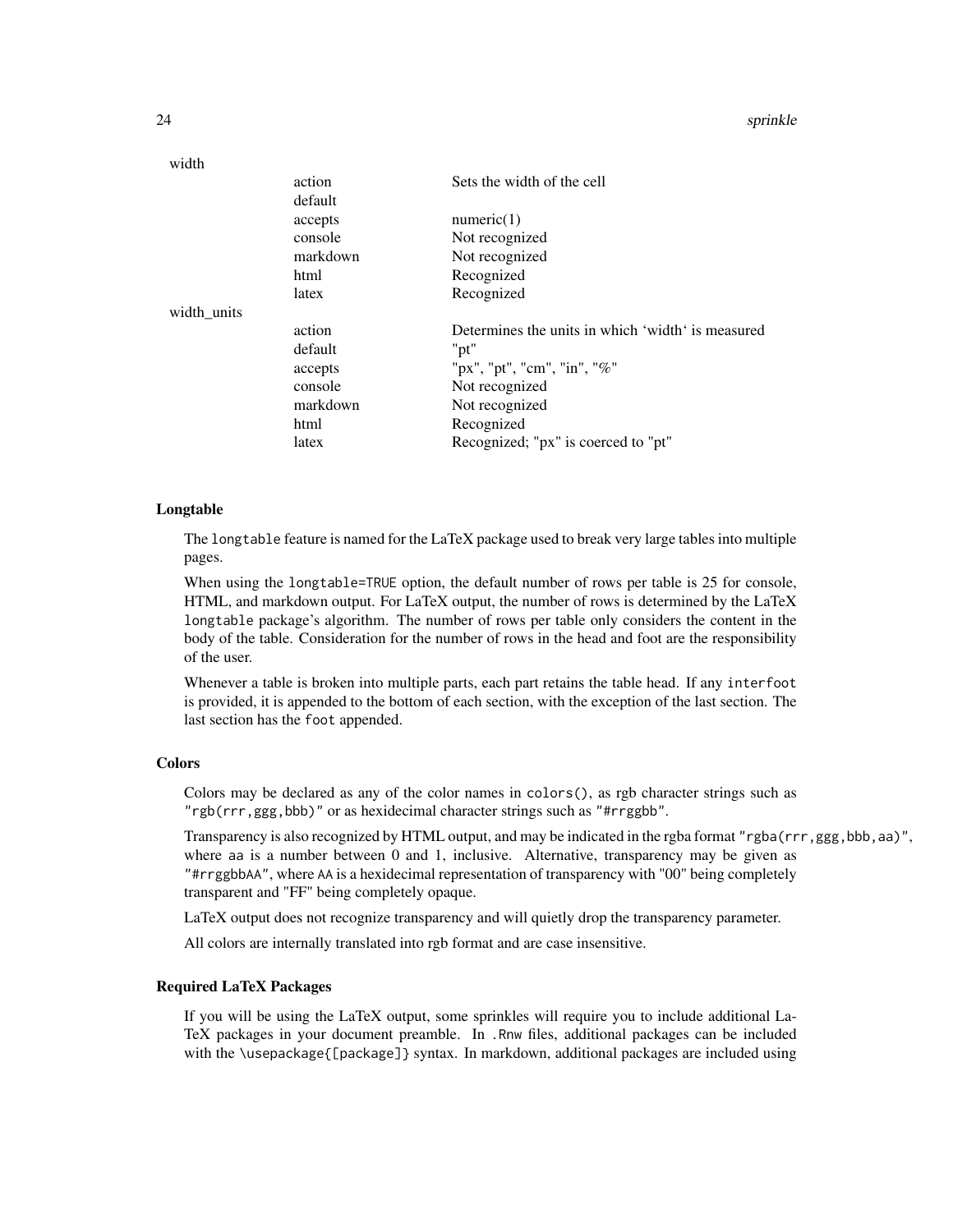| width       |          |                                                   |
|-------------|----------|---------------------------------------------------|
|             | action   | Sets the width of the cell                        |
|             | default  |                                                   |
|             | accepts  | numeric(1)                                        |
|             | console  | Not recognized                                    |
|             | markdown | Not recognized                                    |
|             | html     | Recognized                                        |
|             | latex    | Recognized                                        |
| width_units |          |                                                   |
|             | action   | Determines the units in which 'width' is measured |
|             | default  | "pt"                                              |
|             | accepts  | "px", "pt", "cm", "in", "%"                       |
|             | console  | Not recognized                                    |
|             | markdown | Not recognized                                    |
|             | html     | Recognized                                        |
|             | latex    | Recognized; "px" is coerced to "pt"               |

#### Longtable

The longtable feature is named for the LaTeX package used to break very large tables into multiple pages.

When using the longtable=TRUE option, the default number of rows per table is 25 for console, HTML, and markdown output. For LaTeX output, the number of rows is determined by the LaTeX longtable package's algorithm. The number of rows per table only considers the content in the body of the table. Consideration for the number of rows in the head and foot are the responsibility of the user.

Whenever a table is broken into multiple parts, each part retains the table head. If any interfoot is provided, it is appended to the bottom of each section, with the exception of the last section. The last section has the foot appended.

#### **Colors**

Colors may be declared as any of the color names in colors(), as rgb character strings such as "rgb(rrr,ggg,bbb)" or as hexidecimal character strings such as "#rrggbb".

Transparency is also recognized by HTML output, and may be indicated in the rgba format "rgba(rrr,ggg,bbb,aa)", where aa is a number between 0 and 1, inclusive. Alternative, transparency may be given as "#rrggbbAA", where AA is a hexidecimal representation of transparency with "00" being completely transparent and "FF" being completely opaque.

LaTeX output does not recognize transparency and will quietly drop the transparency parameter.

All colors are internally translated into rgb format and are case insensitive.

#### Required LaTeX Packages

If you will be using the LaTeX output, some sprinkles will require you to include additional La-TeX packages in your document preamble. In .Rnw files, additional packages can be included with the \usepackage{[package]} syntax. In markdown, additional packages are included using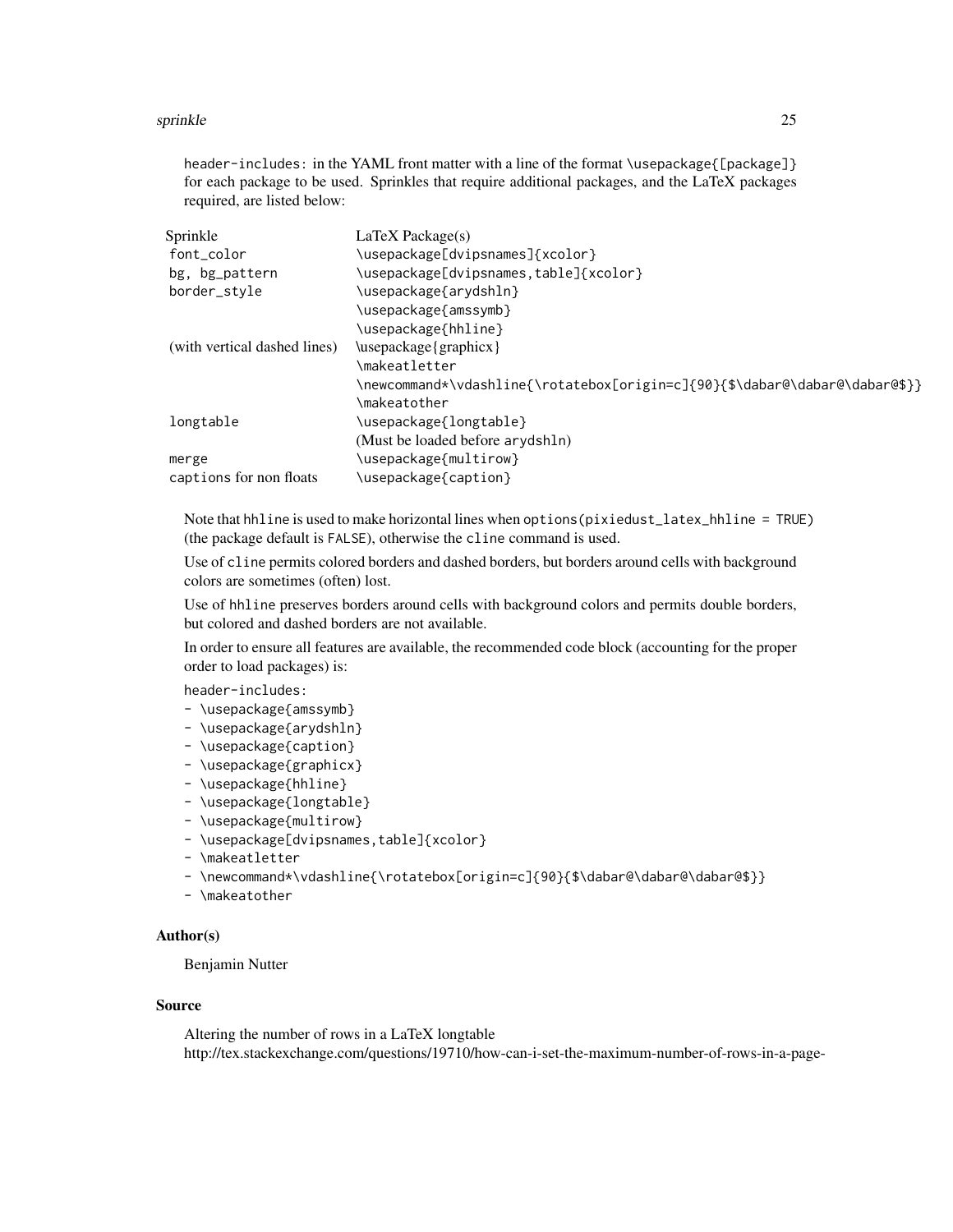header-includes: in the YAML front matter with a line of the format \usepackage{[package]} for each package to be used. Sprinkles that require additional packages, and the LaTeX packages required, are listed below:

| $LaTeX$ Package(s)                                                          |  |  |
|-----------------------------------------------------------------------------|--|--|
| \usepackage[dvipsnames]{xcolor}                                             |  |  |
| \usepackage[dvipsnames,table]{xcolor}                                       |  |  |
| \usepackage{arydshln}                                                       |  |  |
| \usepackage{amssymb}                                                        |  |  |
| \usepackage{hhline}                                                         |  |  |
| \usepackage{graphicx}                                                       |  |  |
| \makeatletter                                                               |  |  |
| \newcommand*\vdashline{\rotatebox[origin=c]{90}{\$\dabar@\dabar@\dabar@\$}} |  |  |
| \makeatother                                                                |  |  |
| \usepackage{longtable}                                                      |  |  |
| (Must be loaded before arydshln)                                            |  |  |
| \usepackage{multirow}                                                       |  |  |
| \usepackage{caption}                                                        |  |  |
|                                                                             |  |  |

Note that hhline is used to make horizontal lines when options(pixiedust\_latex\_hhline = TRUE) (the package default is FALSE), otherwise the cline command is used.

Use of cline permits colored borders and dashed borders, but borders around cells with background colors are sometimes (often) lost.

Use of hhline preserves borders around cells with background colors and permits double borders, but colored and dashed borders are not available.

In order to ensure all features are available, the recommended code block (accounting for the proper order to load packages) is:

header-includes:

- \usepackage{amssymb}
- \usepackage{arydshln}
- \usepackage{caption}
- \usepackage{graphicx}
- \usepackage{hhline}
- \usepackage{longtable}
- \usepackage{multirow}
- \usepackage[dvipsnames,table]{xcolor}
- \makeatletter
- \newcommand\*\vdashline{\rotatebox[origin=c]{90}{\$\dabar@\dabar@\dabar@\$}}
- \makeatother

#### Author(s)

Benjamin Nutter

#### Source

Altering the number of rows in a LaTeX longtable http://tex.stackexchange.com/questions/19710/how-can-i-set-the-maximum-number-of-rows-in-a-page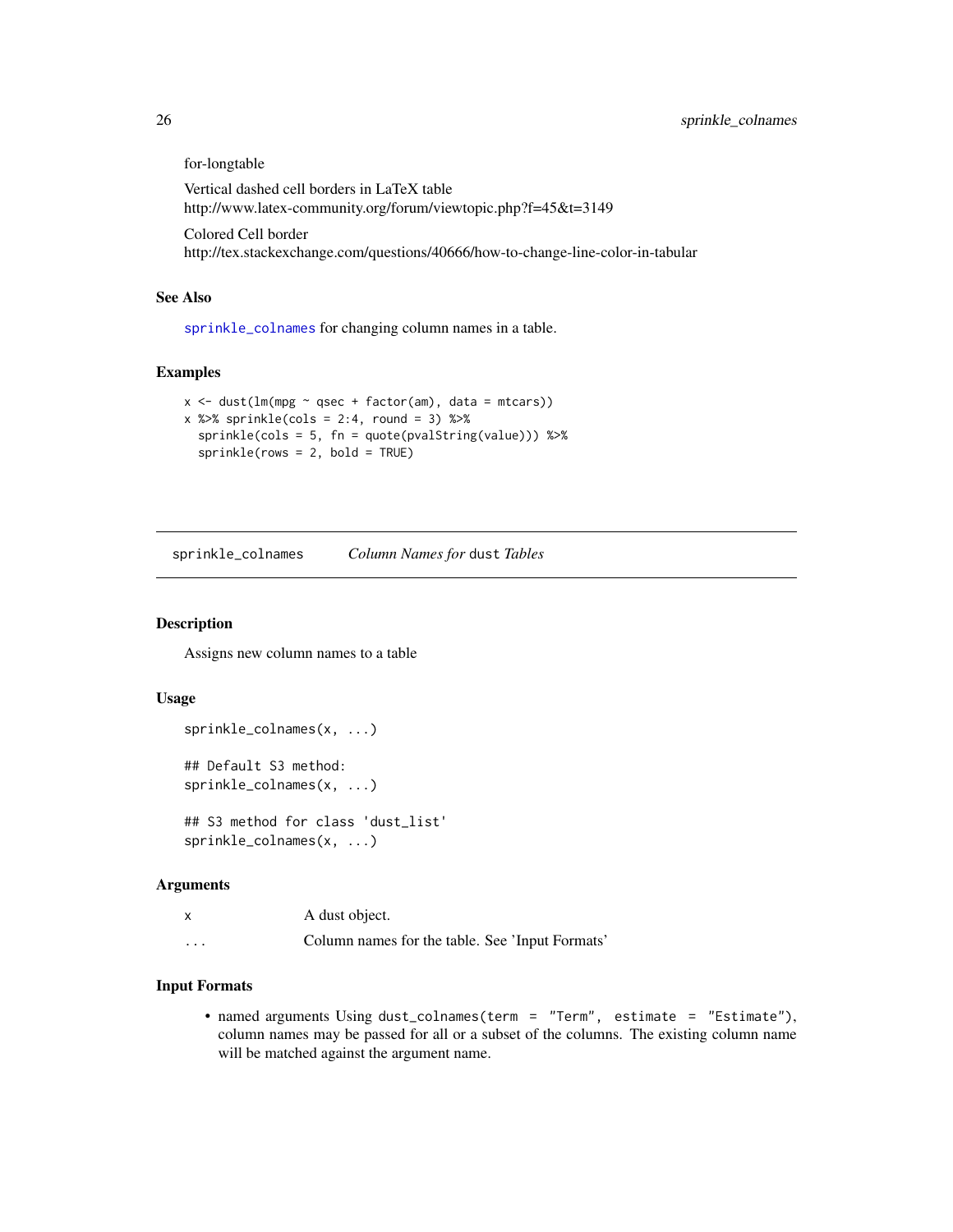for-longtable

Vertical dashed cell borders in LaTeX table http://www.latex-community.org/forum/viewtopic.php?f=45&t=3149

Colored Cell border http://tex.stackexchange.com/questions/40666/how-to-change-line-color-in-tabular

#### See Also

[sprinkle\\_colnames](#page-25-1) for changing column names in a table.

#### Examples

```
x \le - dust(lm(mpg \sim qsec + factor(am), data = mtcars))
x %>> sprinkle(cols = 2:4, round = 3) %>>sprinkle(cols = 5, fn = quote(pvalString(value))) %>%
 sprinkle(rows = 2, bold = TRUE)
```
<span id="page-25-1"></span>sprinkle\_colnames *Column Names for* dust *Tables*

#### Description

Assigns new column names to a table

#### Usage

```
sprinkle_colnames(x, ...)
## Default S3 method:
sprinkle_colnames(x, ...)
```

```
## S3 method for class 'dust_list'
sprinkle_colnames(x, ...)
```
#### Arguments

```
x A dust object.
```
## ... Column names for the table. See 'Input Formats'

#### Input Formats

• named arguments Using dust\_colnames(term = "Term", estimate = "Estimate"), column names may be passed for all or a subset of the columns. The existing column name will be matched against the argument name.

<span id="page-25-0"></span>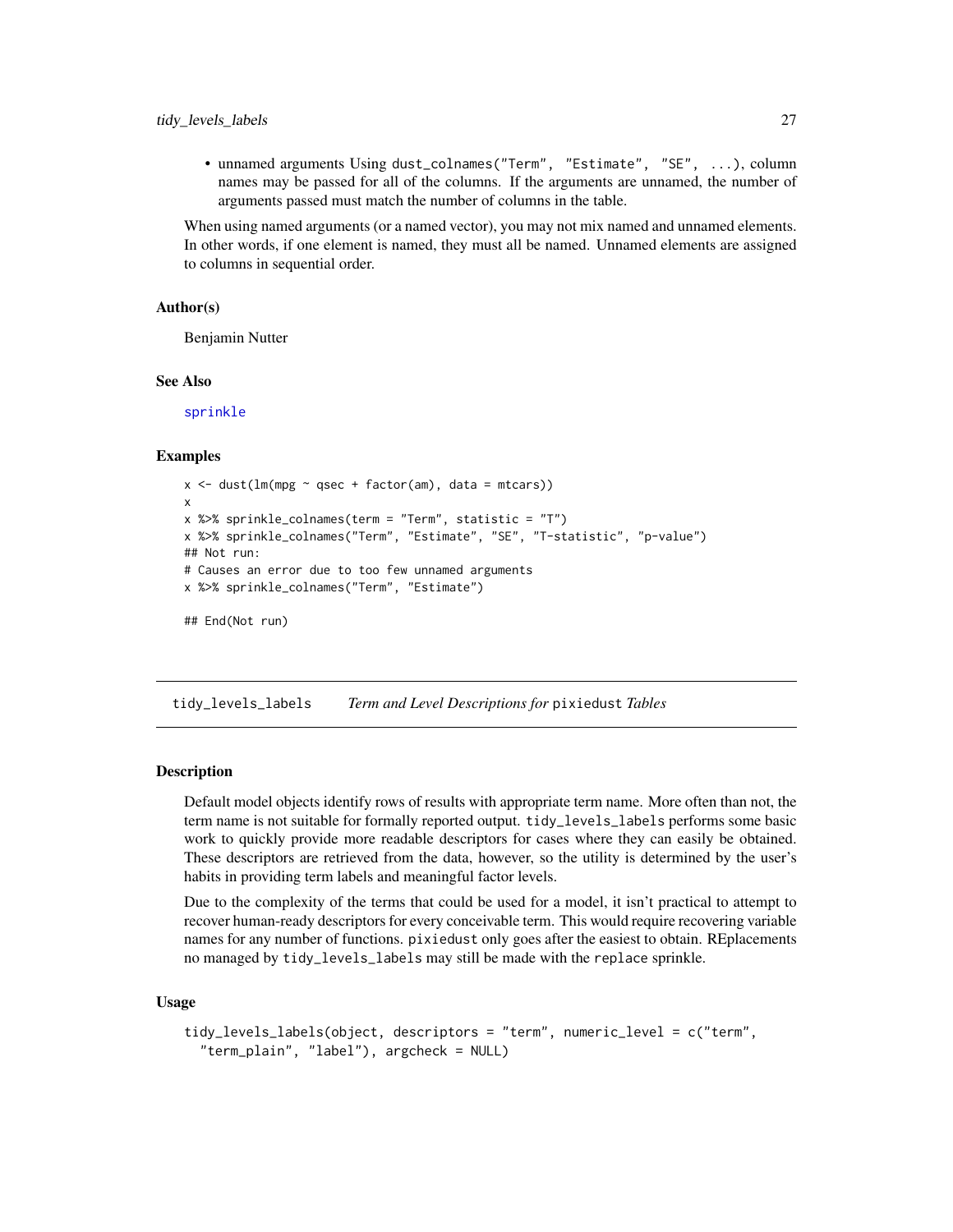<span id="page-26-0"></span>• unnamed arguments Using dust\_colnames("Term", "Estimate", "SE", ...), column names may be passed for all of the columns. If the arguments are unnamed, the number of arguments passed must match the number of columns in the table.

When using named arguments (or a named vector), you may not mix named and unnamed elements. In other words, if one element is named, they must all be named. Unnamed elements are assigned to columns in sequential order.

#### Author(s)

Benjamin Nutter

#### See Also

[sprinkle](#page-13-1)

#### Examples

```
x \le - dust(lm(mpg \sim qsec + factor(am), data = mtcars))
x
x %>% sprinkle_colnames(term = "Term", statistic = "T")
x %>% sprinkle_colnames("Term", "Estimate", "SE", "T-statistic", "p-value")
## Not run:
# Causes an error due to too few unnamed arguments
x %>% sprinkle_colnames("Term", "Estimate")
## End(Not run)
```
<span id="page-26-1"></span>tidy\_levels\_labels *Term and Level Descriptions for* pixiedust *Tables*

#### **Description**

Default model objects identify rows of results with appropriate term name. More often than not, the term name is not suitable for formally reported output. tidy\_levels\_labels performs some basic work to quickly provide more readable descriptors for cases where they can easily be obtained. These descriptors are retrieved from the data, however, so the utility is determined by the user's habits in providing term labels and meaningful factor levels.

Due to the complexity of the terms that could be used for a model, it isn't practical to attempt to recover human-ready descriptors for every conceivable term. This would require recovering variable names for any number of functions. pixiedust only goes after the easiest to obtain. REplacements no managed by tidy\_levels\_labels may still be made with the replace sprinkle.

#### Usage

```
tidy_levels_labels(object, descriptors = "term", numeric_level = c("term",
  "term_plain", "label"), argcheck = NULL)
```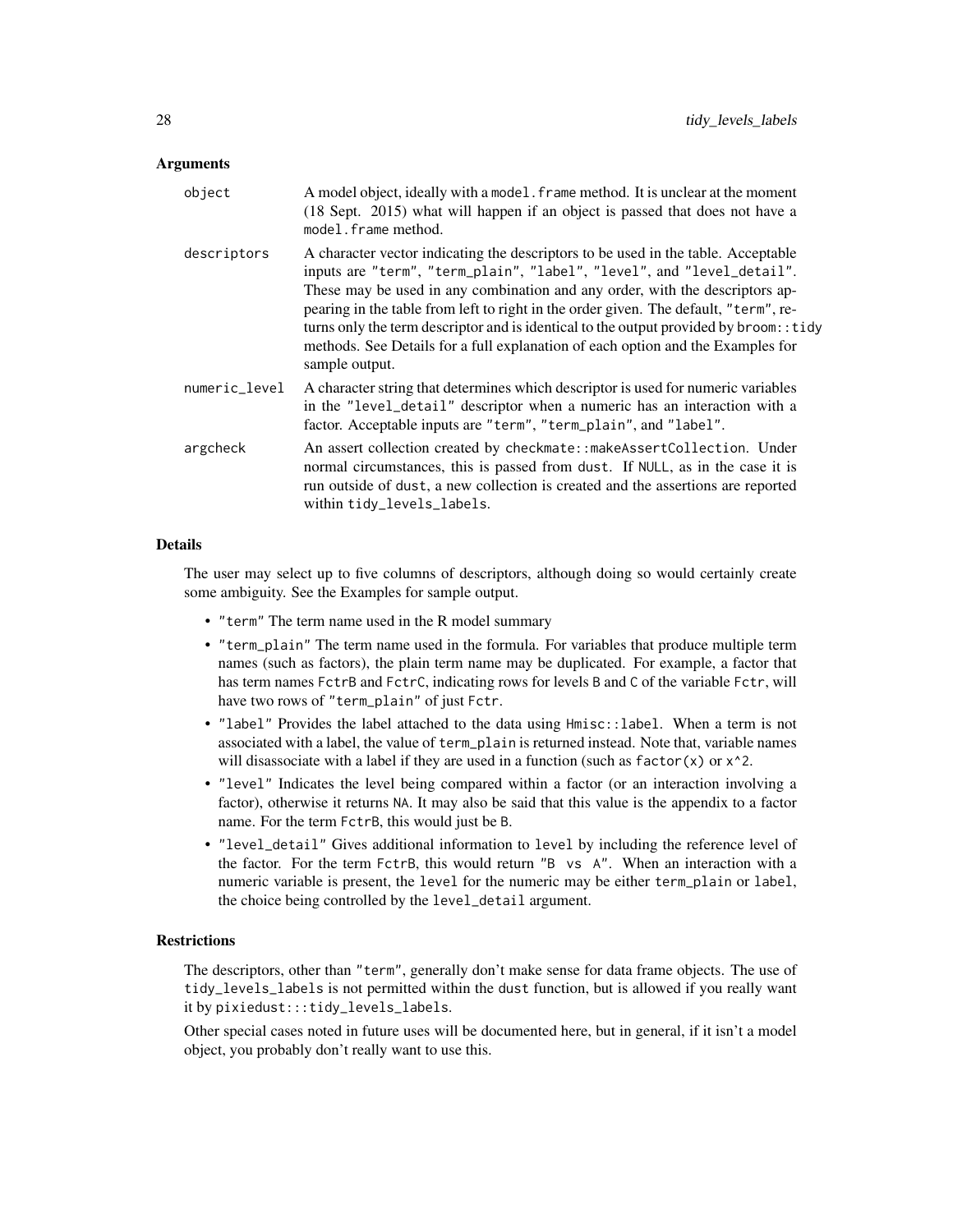#### **Arguments**

| object        | A model object, ideally with a model. frame method. It is unclear at the moment<br>(18 Sept. 2015) what will happen if an object is passed that does not have a<br>model. frame method.                                                                                                                                                                                                                                                                                                                                             |
|---------------|-------------------------------------------------------------------------------------------------------------------------------------------------------------------------------------------------------------------------------------------------------------------------------------------------------------------------------------------------------------------------------------------------------------------------------------------------------------------------------------------------------------------------------------|
| descriptors   | A character vector indicating the descriptors to be used in the table. Acceptable<br>inputs are "term", "term_plain", "label", "level", and "level_detail".<br>These may be used in any combination and any order, with the descriptors ap-<br>pearing in the table from left to right in the order given. The default, "term", re-<br>turns only the term descriptor and is identical to the output provided by broom: : tidy<br>methods. See Details for a full explanation of each option and the Examples for<br>sample output. |
| numeric_level | A character string that determines which descriptor is used for numeric variables<br>in the "level_detail" descriptor when a numeric has an interaction with a<br>factor. Acceptable inputs are "term", "term_plain", and "label".                                                                                                                                                                                                                                                                                                  |
| argcheck      | An assert collection created by checkmate::makeAssertCollection. Under<br>normal circumstances, this is passed from dust. If NULL, as in the case it is<br>run outside of dust, a new collection is created and the assertions are reported<br>within tidy_levels_labels.                                                                                                                                                                                                                                                           |

#### Details

The user may select up to five columns of descriptors, although doing so would certainly create some ambiguity. See the Examples for sample output.

- "term" The term name used in the R model summary
- "term\_plain" The term name used in the formula. For variables that produce multiple term names (such as factors), the plain term name may be duplicated. For example, a factor that has term names FctrB and FctrC, indicating rows for levels B and C of the variable Fctr, will have two rows of "term\_plain" of just Fctr.
- "label" Provides the label attached to the data using Hmisc::label. When a term is not associated with a label, the value of term\_plain is returned instead. Note that, variable names will disassociate with a label if they are used in a function (such as  $factor(x)$  or  $x^2$ .
- "level" Indicates the level being compared within a factor (or an interaction involving a factor), otherwise it returns NA. It may also be said that this value is the appendix to a factor name. For the term FctrB, this would just be B.
- "level\_detail" Gives additional information to level by including the reference level of the factor. For the term FctrB, this would return "B vs A". When an interaction with a numeric variable is present, the level for the numeric may be either term\_plain or label, the choice being controlled by the level\_detail argument.

#### **Restrictions**

The descriptors, other than "term", generally don't make sense for data frame objects. The use of tidy\_levels\_labels is not permitted within the dust function, but is allowed if you really want it by pixiedust:::tidy\_levels\_labels.

Other special cases noted in future uses will be documented here, but in general, if it isn't a model object, you probably don't really want to use this.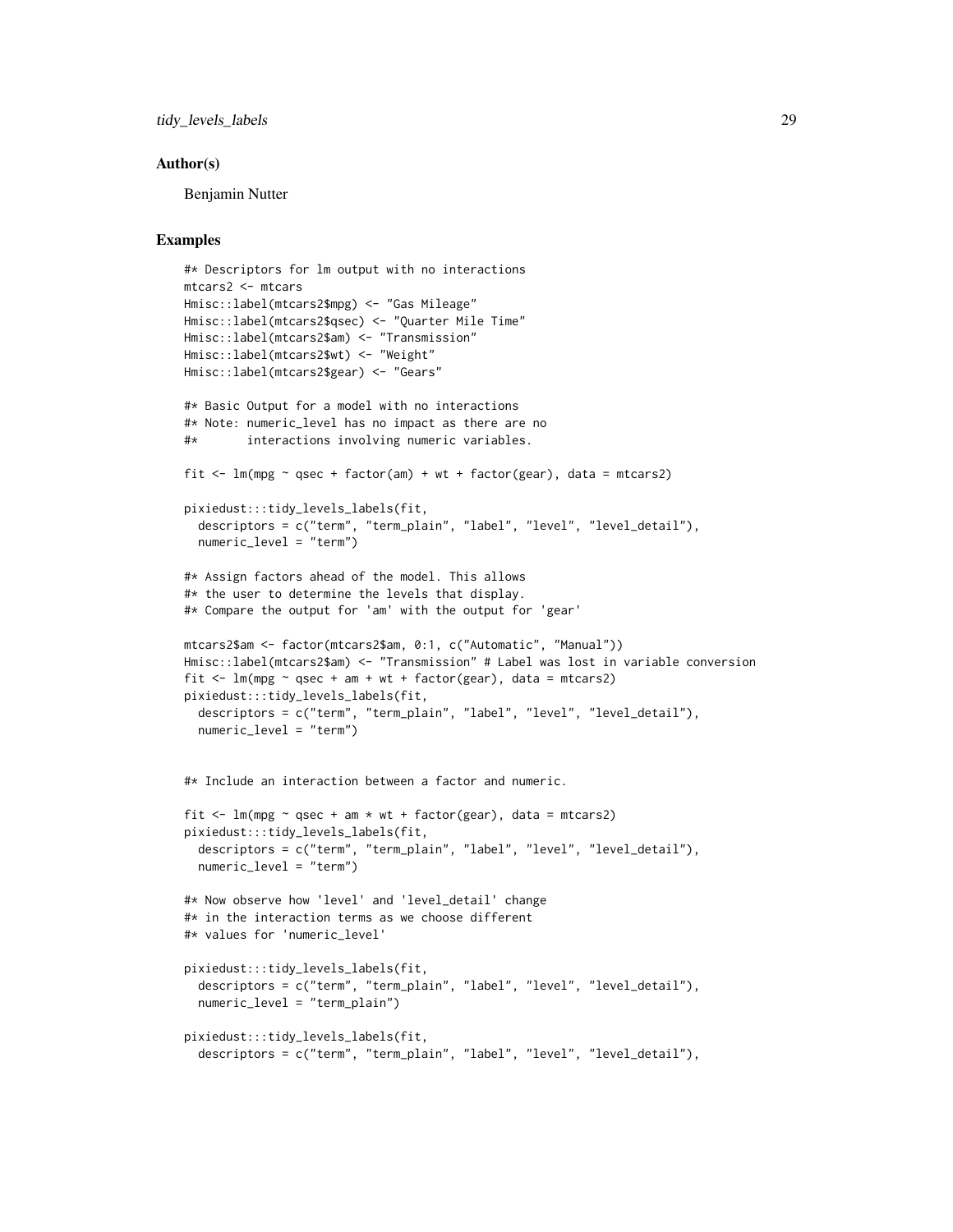tidy\_levels\_labels 29

#### Author(s)

Benjamin Nutter

#### Examples

```
#* Descriptors for lm output with no interactions
mtcars2 <- mtcars
Hmisc::label(mtcars2$mpg) <- "Gas Mileage"
Hmisc::label(mtcars2$qsec) <- "Quarter Mile Time"
Hmisc::label(mtcars2$am) <- "Transmission"
Hmisc::label(mtcars2$wt) <- "Weight"
Hmisc::label(mtcars2$gear) <- "Gears"
#* Basic Output for a model with no interactions
#* Note: numeric_level has no impact as there are no
#* interactions involving numeric variables.
fit \leq lm(mpg \sim qsec + factor(am) + wt + factor(gear), data = mtcars2)
pixiedust:::tidy_levels_labels(fit,
  descriptors = c("term", "term_plain", "label", "level", "level_detail"),
  numeric_level = "term")
#* Assign factors ahead of the model. This allows
#* the user to determine the levels that display.
#* Compare the output for 'am' with the output for 'gear'
mtcars2$am <- factor(mtcars2$am, 0:1, c("Automatic", "Manual"))
Hmisc::label(mtcars2$am) <- "Transmission" # Label was lost in variable conversion
fit \leq lm(mpg \sim qsec + am + wt + factor(gear), data = mtcars2)
pixiedust:::tidy_levels_labels(fit,
  descriptors = c("term", "term_plain", "label", "level", "level_detail"),
  numeric_level = "term")
#* Include an interaction between a factor and numeric.
fit \leq lm(mpg \sim qsec + am * wt + factor(gear), data = mtcars2)
pixiedust:::tidy_levels_labels(fit,
  descriptors = c("term", "term_plain", "label", "level", "level_detail"),
  numeric_level = "term")
#* Now observe how 'level' and 'level_detail' change
#* in the interaction terms as we choose different
#* values for 'numeric_level'
pixiedust:::tidy_levels_labels(fit,
  descriptors = c("term", "term_plain", "label", "level", "level_detail"),
  numeric_level = "term_plain")
pixiedust:::tidy_levels_labels(fit,
  descriptors = c("term", "term_plain", "label", "level", "level_detail"),
```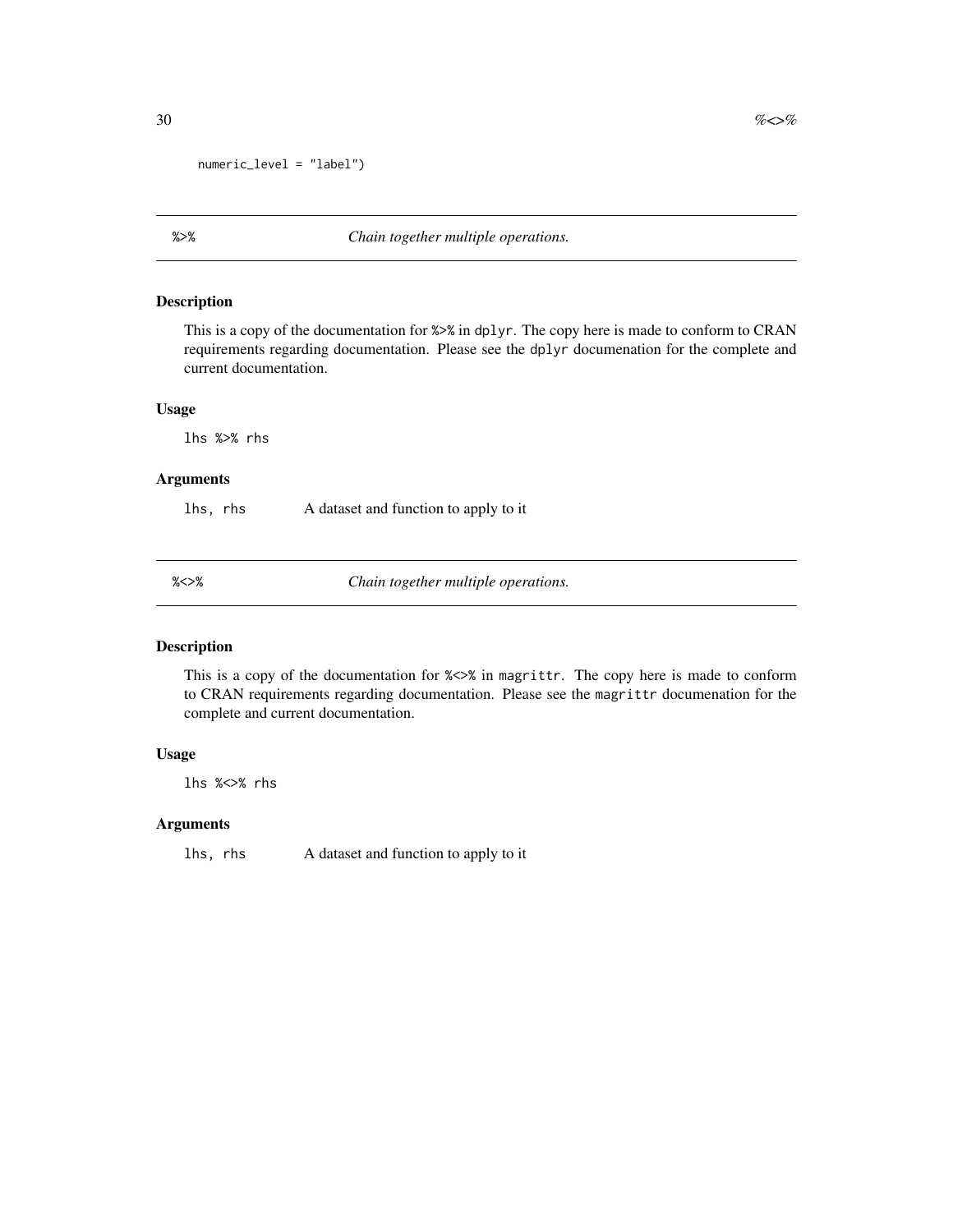```
numeric_level = "label")
```
### Description

This is a copy of the documentation for %>% in dplyr. The copy here is made to conform to CRAN requirements regarding documentation. Please see the dplyr documenation for the complete and current documentation.

#### Usage

lhs %>% rhs

#### Arguments

lhs, rhs A dataset and function to apply to it

%<>% *Chain together multiple operations.*

### Description

This is a copy of the documentation for %<>% in magrittr. The copy here is made to conform to CRAN requirements regarding documentation. Please see the magrittr documenation for the complete and current documentation.

#### Usage

lhs %<>% rhs

#### Arguments

lhs, rhs A dataset and function to apply to it